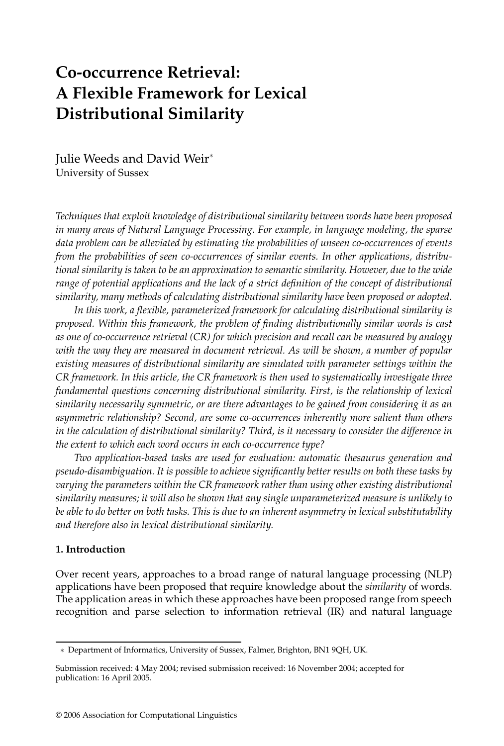# **Co-occurrence Retrieval: A Flexible Framework for Lexical Distributional Similarity**

Julie Weeds and David Weir<sup>∗</sup> University of Sussex

*Techniques that exploit knowledge of distributional similarity between words have been proposed in many areas of Natural Language Processing. For example, in language modeling, the sparse data problem can be alleviated by estimating the probabilities of unseen co-occurrences of events from the probabilities of seen co-occurrences of similar events. In other applications, distributional similarity is taken to be an approximation to semantic similarity. However, due to the wide range of potential applications and the lack of a strict definition of the concept of distributional similarity, many methods of calculating distributional similarity have been proposed or adopted.*

*In this work, a flexible, parameterized framework for calculating distributional similarity is proposed. Within this framework, the problem of finding distributionally similar words is cast as one of co-occurrence retrieval (CR) for which precision and recall can be measured by analogy with the way they are measured in document retrieval. As will be shown, a number of popular existing measures of distributional similarity are simulated with parameter settings within the CR framework. In this article, the CR framework is then used to systematically investigate three fundamental questions concerning distributional similarity. First, is the relationship of lexical similarity necessarily symmetric, or are there advantages to be gained from considering it as an asymmetric relationship? Second, are some co-occurrences inherently more salient than others in the calculation of distributional similarity? Third, is it necessary to consider the difference in the extent to which each word occurs in each co-occurrence type?*

*Two application-based tasks are used for evaluation: automatic thesaurus generation and pseudo-disambiguation. It is possible to achieve significantly better results on both these tasks by varying the parameters within the CR framework rather than using other existing distributional similarity measures; it will also be shown that any single unparameterized measure is unlikely to be able to do better on both tasks. This is due to an inherent asymmetry in lexical substitutability and therefore also in lexical distributional similarity.*

## **1. Introduction**

Over recent years, approaches to a broad range of natural language processing (NLP) applications have been proposed that require knowledge about the *similarity* of words. The application areas in which these approaches have been proposed range from speech recognition and parse selection to information retrieval (IR) and natural language

<sup>∗</sup> Department of Informatics, University of Sussex, Falmer, Brighton, BN1 9QH, UK.

Submission received: 4 May 2004; revised submission received: 16 November 2004; accepted for publication: 16 April 2005.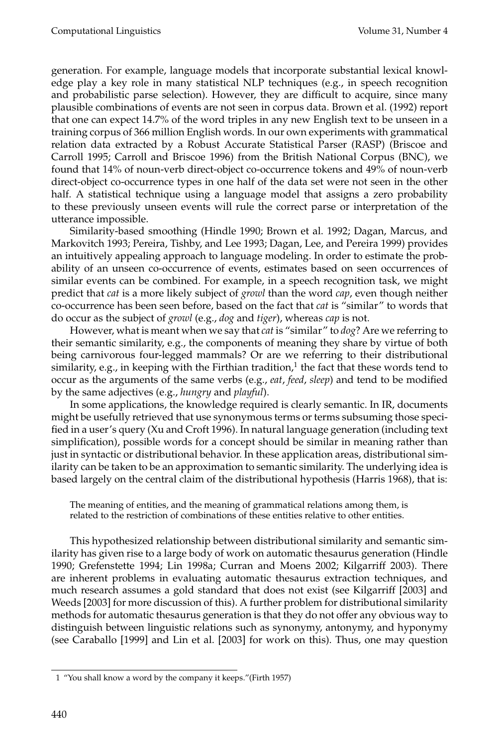generation. For example, language models that incorporate substantial lexical knowledge play a key role in many statistical NLP techniques (e.g., in speech recognition and probabilistic parse selection). However, they are difficult to acquire, since many plausible combinations of events are not seen in corpus data. Brown et al. (1992) report that one can expect 14.7% of the word triples in any new English text to be unseen in a training corpus of 366 million English words. In our own experiments with grammatical relation data extracted by a Robust Accurate Statistical Parser (RASP) (Briscoe and Carroll 1995; Carroll and Briscoe 1996) from the British National Corpus (BNC), we found that 14% of noun-verb direct-object co-occurrence tokens and 49% of noun-verb direct-object co-occurrence types in one half of the data set were not seen in the other half. A statistical technique using a language model that assigns a zero probability to these previously unseen events will rule the correct parse or interpretation of the utterance impossible.

Similarity-based smoothing (Hindle 1990; Brown et al. 1992; Dagan, Marcus, and Markovitch 1993; Pereira, Tishby, and Lee 1993; Dagan, Lee, and Pereira 1999) provides an intuitively appealing approach to language modeling. In order to estimate the probability of an unseen co-occurrence of events, estimates based on seen occurrences of similar events can be combined. For example, in a speech recognition task, we might predict that *cat* is a more likely subject of *growl* than the word *cap*, even though neither co-occurrence has been seen before, based on the fact that *cat* is "similar" to words that do occur as the subject of *growl* (e.g., *dog* and *tiger*), whereas *cap* is not.

However, what is meant when we say that *cat* is "similar" to *dog*? Are we referring to their semantic similarity, e.g., the components of meaning they share by virtue of both being carnivorous four-legged mammals? Or are we referring to their distributional similarity, e.g., in keeping with the Firthian tradition, $1$  the fact that these words tend to occur as the arguments of the same verbs (e.g., *eat*, *feed*, *sleep*) and tend to be modified by the same adjectives (e.g., *hungry* and *playful*).

In some applications, the knowledge required is clearly semantic. In IR, documents might be usefully retrieved that use synonymous terms or terms subsuming those specified in a user's query (Xu and Croft 1996). In natural language generation (including text simplification), possible words for a concept should be similar in meaning rather than just in syntactic or distributional behavior. In these application areas, distributional similarity can be taken to be an approximation to semantic similarity. The underlying idea is based largely on the central claim of the distributional hypothesis (Harris 1968), that is:

The meaning of entities, and the meaning of grammatical relations among them, is related to the restriction of combinations of these entities relative to other entities.

This hypothesized relationship between distributional similarity and semantic similarity has given rise to a large body of work on automatic thesaurus generation (Hindle 1990; Grefenstette 1994; Lin 1998a; Curran and Moens 2002; Kilgarriff 2003). There are inherent problems in evaluating automatic thesaurus extraction techniques, and much research assumes a gold standard that does not exist (see Kilgarriff [2003] and Weeds [2003] for more discussion of this). A further problem for distributional similarity methods for automatic thesaurus generation is that they do not offer any obvious way to distinguish between linguistic relations such as synonymy, antonymy, and hyponymy (see Caraballo [1999] and Lin et al. [2003] for work on this). Thus, one may question

<sup>1 &</sup>quot;You shall know a word by the company it keeps."(Firth 1957)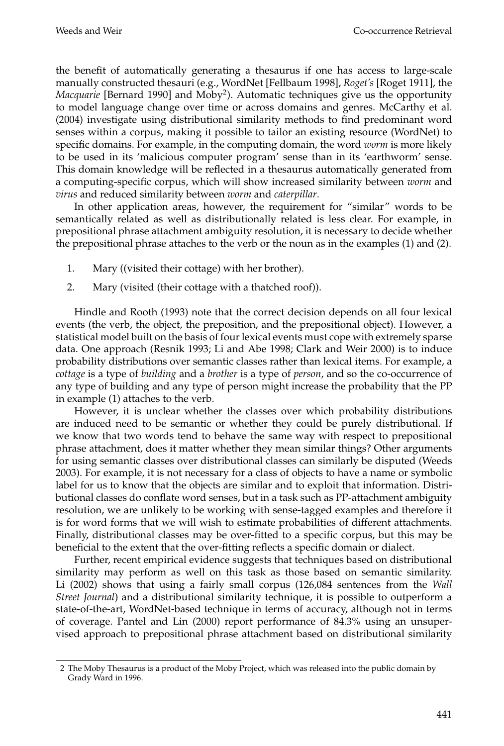the benefit of automatically generating a thesaurus if one has access to large-scale manually constructed thesauri (e.g., WordNet [Fellbaum 1998], *Roget's* [Roget 1911], the *Macquarie* [Bernard 1990] and Moby<sup>2</sup>). Automatic techniques give us the opportunity to model language change over time or across domains and genres. McCarthy et al. (2004) investigate using distributional similarity methods to find predominant word senses within a corpus, making it possible to tailor an existing resource (WordNet) to specific domains. For example, in the computing domain, the word *worm* is more likely to be used in its 'malicious computer program' sense than in its 'earthworm' sense. This domain knowledge will be reflected in a thesaurus automatically generated from a computing-specific corpus, which will show increased similarity between *worm* and *virus* and reduced similarity between *worm* and *caterpillar*.

In other application areas, however, the requirement for "similar" words to be semantically related as well as distributionally related is less clear. For example, in prepositional phrase attachment ambiguity resolution, it is necessary to decide whether the prepositional phrase attaches to the verb or the noun as in the examples (1) and (2).

- 1. Mary ((visited their cottage) with her brother).
- 2. Mary (visited (their cottage with a thatched roof)).

Hindle and Rooth (1993) note that the correct decision depends on all four lexical events (the verb, the object, the preposition, and the prepositional object). However, a statistical model built on the basis of four lexical events must cope with extremely sparse data. One approach (Resnik 1993; Li and Abe 1998; Clark and Weir 2000) is to induce probability distributions over semantic classes rather than lexical items. For example, a *cottage* is a type of *building* and a *brother* is a type of *person*, and so the co-occurrence of any type of building and any type of person might increase the probability that the PP in example (1) attaches to the verb.

However, it is unclear whether the classes over which probability distributions are induced need to be semantic or whether they could be purely distributional. If we know that two words tend to behave the same way with respect to prepositional phrase attachment, does it matter whether they mean similar things? Other arguments for using semantic classes over distributional classes can similarly be disputed (Weeds 2003). For example, it is not necessary for a class of objects to have a name or symbolic label for us to know that the objects are similar and to exploit that information. Distributional classes do conflate word senses, but in a task such as PP-attachment ambiguity resolution, we are unlikely to be working with sense-tagged examples and therefore it is for word forms that we will wish to estimate probabilities of different attachments. Finally, distributional classes may be over-fitted to a specific corpus, but this may be beneficial to the extent that the over-fitting reflects a specific domain or dialect.

Further, recent empirical evidence suggests that techniques based on distributional similarity may perform as well on this task as those based on semantic similarity. Li (2002) shows that using a fairly small corpus (126,084 sentences from the *Wall Street Journal*) and a distributional similarity technique, it is possible to outperform a state-of-the-art, WordNet-based technique in terms of accuracy, although not in terms of coverage. Pantel and Lin (2000) report performance of 84.3% using an unsupervised approach to prepositional phrase attachment based on distributional similarity

<sup>2</sup> The Moby Thesaurus is a product of the Moby Project, which was released into the public domain by Grady Ward in 1996.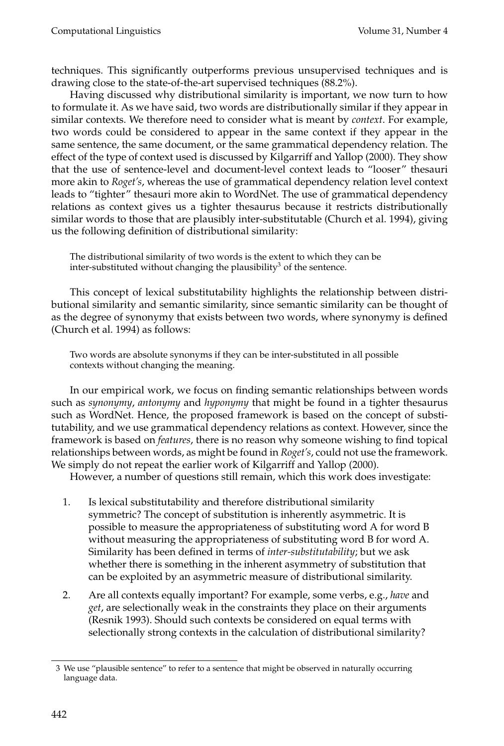techniques. This significantly outperforms previous unsupervised techniques and is drawing close to the state-of-the-art supervised techniques (88.2%).

Having discussed why distributional similarity is important, we now turn to how to formulate it. As we have said, two words are distributionally similar if they appear in similar contexts. We therefore need to consider what is meant by *context*. For example, two words could be considered to appear in the same context if they appear in the same sentence, the same document, or the same grammatical dependency relation. The effect of the type of context used is discussed by Kilgarriff and Yallop (2000). They show that the use of sentence-level and document-level context leads to "looser" thesauri more akin to *Roget's*, whereas the use of grammatical dependency relation level context leads to "tighter" thesauri more akin to WordNet. The use of grammatical dependency relations as context gives us a tighter thesaurus because it restricts distributionally similar words to those that are plausibly inter-substitutable (Church et al. 1994), giving us the following definition of distributional similarity:

The distributional similarity of two words is the extent to which they can be inter-substituted without changing the plausibility<sup>3</sup> of the sentence.

This concept of lexical substitutability highlights the relationship between distributional similarity and semantic similarity, since semantic similarity can be thought of as the degree of synonymy that exists between two words, where synonymy is defined (Church et al. 1994) as follows:

Two words are absolute synonyms if they can be inter-substituted in all possible contexts without changing the meaning.

In our empirical work, we focus on finding semantic relationships between words such as *synonymy*, *antonymy* and *hyponymy* that might be found in a tighter thesaurus such as WordNet. Hence, the proposed framework is based on the concept of substitutability, and we use grammatical dependency relations as context. However, since the framework is based on *features*, there is no reason why someone wishing to find topical relationships between words, as might be found in *Roget's*, could not use the framework. We simply do not repeat the earlier work of Kilgarriff and Yallop (2000).

However, a number of questions still remain, which this work does investigate:

- 1. Is lexical substitutability and therefore distributional similarity symmetric? The concept of substitution is inherently asymmetric. It is possible to measure the appropriateness of substituting word A for word B without measuring the appropriateness of substituting word B for word A. Similarity has been defined in terms of *inter-substitutability*; but we ask whether there is something in the inherent asymmetry of substitution that can be exploited by an asymmetric measure of distributional similarity.
- 2. Are all contexts equally important? For example, some verbs, e.g., *have* and *get*, are selectionally weak in the constraints they place on their arguments (Resnik 1993). Should such contexts be considered on equal terms with selectionally strong contexts in the calculation of distributional similarity?

<sup>3</sup> We use "plausible sentence" to refer to a sentence that might be observed in naturally occurring language data.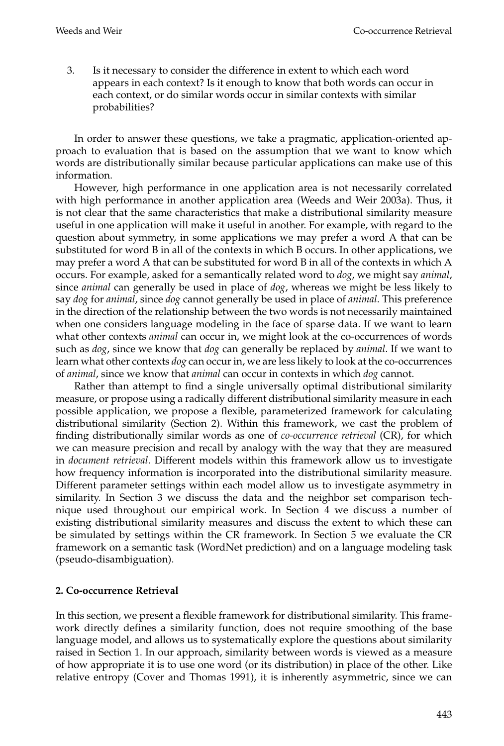3. Is it necessary to consider the difference in extent to which each word appears in each context? Is it enough to know that both words can occur in each context, or do similar words occur in similar contexts with similar probabilities?

In order to answer these questions, we take a pragmatic, application-oriented approach to evaluation that is based on the assumption that we want to know which words are distributionally similar because particular applications can make use of this information.

However, high performance in one application area is not necessarily correlated with high performance in another application area (Weeds and Weir 2003a). Thus, it is not clear that the same characteristics that make a distributional similarity measure useful in one application will make it useful in another. For example, with regard to the question about symmetry, in some applications we may prefer a word A that can be substituted for word B in all of the contexts in which B occurs. In other applications, we may prefer a word A that can be substituted for word B in all of the contexts in which A occurs. For example, asked for a semantically related word to *dog*, we might say *animal*, since *animal* can generally be used in place of *dog*, whereas we might be less likely to say *dog* for *animal*, since *dog* cannot generally be used in place of *animal*. This preference in the direction of the relationship between the two words is not necessarily maintained when one considers language modeling in the face of sparse data. If we want to learn what other contexts *animal* can occur in, we might look at the co-occurrences of words such as *dog*, since we know that *dog* can generally be replaced by *animal*. If we want to learn what other contexts *dog* can occur in, we are less likely to look at the co-occurrences of *animal*, since we know that *animal* can occur in contexts in which *dog* cannot.

Rather than attempt to find a single universally optimal distributional similarity measure, or propose using a radically different distributional similarity measure in each possible application, we propose a flexible, parameterized framework for calculating distributional similarity (Section 2). Within this framework, we cast the problem of finding distributionally similar words as one of *co-occurrence retrieval* (CR), for which we can measure precision and recall by analogy with the way that they are measured in *document retrieval*. Different models within this framework allow us to investigate how frequency information is incorporated into the distributional similarity measure. Different parameter settings within each model allow us to investigate asymmetry in similarity. In Section 3 we discuss the data and the neighbor set comparison technique used throughout our empirical work. In Section 4 we discuss a number of existing distributional similarity measures and discuss the extent to which these can be simulated by settings within the CR framework. In Section 5 we evaluate the CR framework on a semantic task (WordNet prediction) and on a language modeling task (pseudo-disambiguation).

## **2. Co-occurrence Retrieval**

In this section, we present a flexible framework for distributional similarity. This framework directly defines a similarity function, does not require smoothing of the base language model, and allows us to systematically explore the questions about similarity raised in Section 1. In our approach, similarity between words is viewed as a measure of how appropriate it is to use one word (or its distribution) in place of the other. Like relative entropy (Cover and Thomas 1991), it is inherently asymmetric, since we can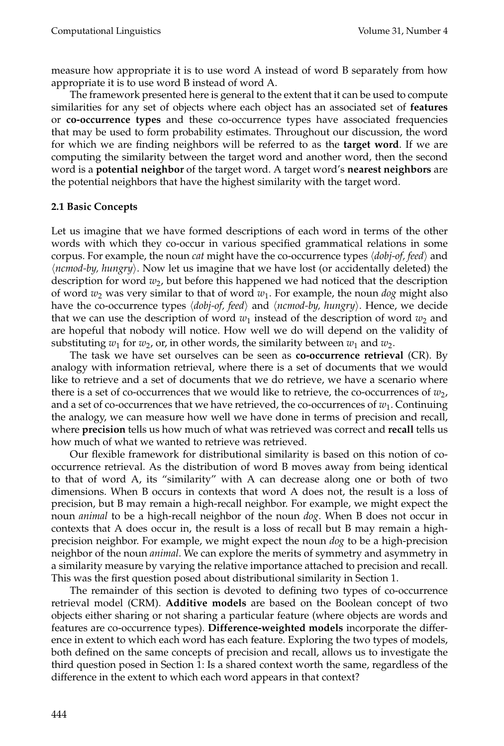measure how appropriate it is to use word A instead of word B separately from how appropriate it is to use word B instead of word A.

The framework presented here is general to the extent that it can be used to compute similarities for any set of objects where each object has an associated set of **features** or **co-occurrence types** and these co-occurrence types have associated frequencies that may be used to form probability estimates. Throughout our discussion, the word for which we are finding neighbors will be referred to as the **target word**. If we are computing the similarity between the target word and another word, then the second word is a **potential neighbor** of the target word. A target word's **nearest neighbors** are the potential neighbors that have the highest similarity with the target word.

#### **2.1 Basic Concepts**

Let us imagine that we have formed descriptions of each word in terms of the other words with which they co-occur in various specified grammatical relations in some corpus. For example, the noun *cat* might have the co-occurrence types  $\langle \textit{dobj-of}, \textit{feed} \rangle$  and -*ncmod-by, hungry*. Now let us imagine that we have lost (or accidentally deleted) the description for word *w*2, but before this happened we had noticed that the description of word  $w_2$  was very similar to that of word  $w_1$ . For example, the noun  $\log$  might also have the co-occurrence types  $\langle \textit{dobj-of}, \textit{feed} \rangle$  and  $\langle \textit{ncmd-by}, \textit{hungry} \rangle$ . Hence, we decide that we can use the description of word  $w_1$  instead of the description of word  $w_2$  and are hopeful that nobody will notice. How well we do will depend on the validity of substituting  $w_1$  for  $w_2$ , or, in other words, the similarity between  $w_1$  and  $w_2$ .

The task we have set ourselves can be seen as **co-occurrence retrieval** (CR). By analogy with information retrieval, where there is a set of documents that we would like to retrieve and a set of documents that we do retrieve, we have a scenario where there is a set of co-occurrences that we would like to retrieve, the co-occurrences of  $w_2$ , and a set of co-occurrences that we have retrieved, the co-occurrences of  $w_1$ . Continuing the analogy, we can measure how well we have done in terms of precision and recall, where **precision** tells us how much of what was retrieved was correct and **recall** tells us how much of what we wanted to retrieve was retrieved.

Our flexible framework for distributional similarity is based on this notion of cooccurrence retrieval. As the distribution of word B moves away from being identical to that of word A, its "similarity" with A can decrease along one or both of two dimensions. When B occurs in contexts that word A does not, the result is a loss of precision, but B may remain a high-recall neighbor. For example, we might expect the noun *animal* to be a high-recall neighbor of the noun *dog*. When B does not occur in contexts that A does occur in, the result is a loss of recall but B may remain a highprecision neighbor. For example, we might expect the noun *dog* to be a high-precision neighbor of the noun *animal*. We can explore the merits of symmetry and asymmetry in a similarity measure by varying the relative importance attached to precision and recall. This was the first question posed about distributional similarity in Section 1.

The remainder of this section is devoted to defining two types of co-occurrence retrieval model (CRM). **Additive models** are based on the Boolean concept of two objects either sharing or not sharing a particular feature (where objects are words and features are co-occurrence types). **Difference-weighted models** incorporate the difference in extent to which each word has each feature. Exploring the two types of models, both defined on the same concepts of precision and recall, allows us to investigate the third question posed in Section 1: Is a shared context worth the same, regardless of the difference in the extent to which each word appears in that context?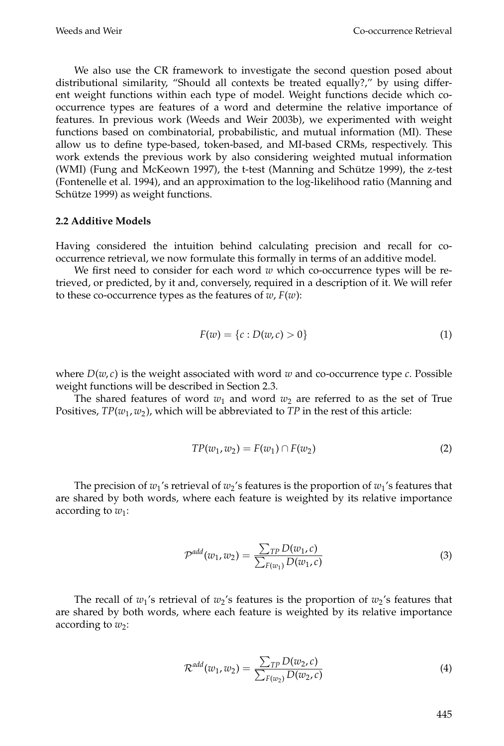We also use the CR framework to investigate the second question posed about distributional similarity, "Should all contexts be treated equally?," by using different weight functions within each type of model. Weight functions decide which cooccurrence types are features of a word and determine the relative importance of features. In previous work (Weeds and Weir 2003b), we experimented with weight functions based on combinatorial, probabilistic, and mutual information (MI). These allow us to define type-based, token-based, and MI-based CRMs, respectively. This work extends the previous work by also considering weighted mutual information (WMI) (Fung and McKeown 1997), the t-test (Manning and Schütze 1999), the z-test (Fontenelle et al. 1994), and an approximation to the log-likelihood ratio (Manning and Schütze 1999) as weight functions.

#### **2.2 Additive Models**

Having considered the intuition behind calculating precision and recall for cooccurrence retrieval, we now formulate this formally in terms of an additive model.

We first need to consider for each word *w* which co-occurrence types will be retrieved, or predicted, by it and, conversely, required in a description of it. We will refer to these co-occurrence types as the features of  $w$ ,  $F(w)$ :

$$
F(w) = \{c : D(w, c) > 0\}
$$
 (1)

where  $D(w, c)$  is the weight associated with word  $w$  and co-occurrence type  $c$ . Possible weight functions will be described in Section 2.3.

The shared features of word  $w_1$  and word  $w_2$  are referred to as the set of True Positives, *TP*(*w*1, *w*2), which will be abbreviated to *TP* in the rest of this article:

$$
TP(w_1, w_2) = F(w_1) \cap F(w_2)
$$
 (2)

The precision of  $w_1$ 's retrieval of  $w_2$ 's features is the proportion of  $w_1$ 's features that are shared by both words, where each feature is weighted by its relative importance according to  $w_1$ :

$$
\mathcal{P}^{add}(w_1, w_2) = \frac{\sum_{TP} D(w_1, c)}{\sum_{F(w_1)} D(w_1, c)}
$$
(3)

The recall of  $w_1$ 's retrieval of  $w_2$ 's features is the proportion of  $w_2$ 's features that are shared by both words, where each feature is weighted by its relative importance according to  $w_2$ :

$$
\mathcal{R}^{add}(w_1, w_2) = \frac{\sum_{TP} D(w_2, c)}{\sum_{F(w_2)} D(w_2, c)}
$$
(4)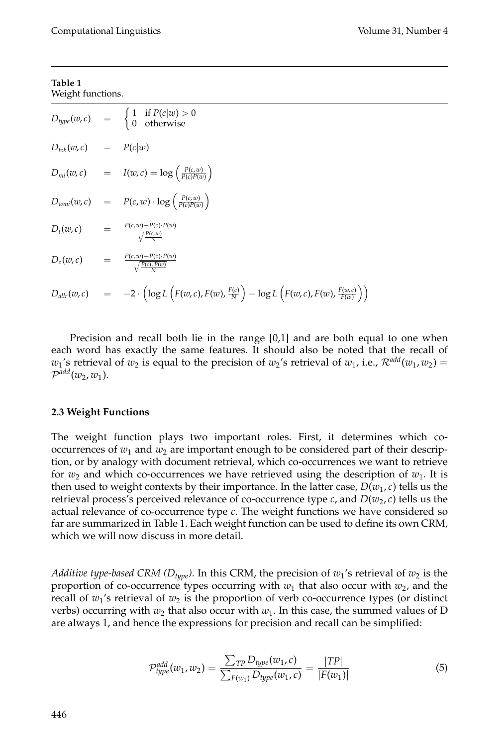#### **Table 1** Weight functions.

|                            | $D_{type}(w, c)$ = $\begin{cases} 1 & \text{if } P(c w) > 0 \\ 0 & \text{otherwise} \end{cases}$                                                          |
|----------------------------|-----------------------------------------------------------------------------------------------------------------------------------------------------------|
| $D_{tok}(w, c)$ = $P(c w)$ |                                                                                                                                                           |
|                            | $D_{mi}(w, c)$ = $I(w, c) = \log \left( \frac{P(c, w)}{P(c)P(w)} \right)$                                                                                 |
|                            | $D_{wmi}(w, c) = P(c, w) \cdot \log \left( \frac{P(c, w)}{P(c)P(w)} \right)$                                                                              |
|                            | $D_t(w, c)$ $=$ $\frac{P(c, w) - P(c) \cdot P(w)}{\sqrt{\frac{P(c, w)}{c}}}$                                                                              |
|                            | $D_z(w,c)$ $=$ $\frac{P(c,w)-P(c)\cdot P(w)}{\sqrt{\frac{P(c)\cdot P(w)}{P(c)\cdot P(w)}}}$                                                               |
|                            | $D_{\textit{allr}}(w,c)$ = $-2 \cdot \left(\log L\left(F(w,c), F(w), \frac{F(c)}{N}\right) - \log L\left(F(w,c), F(w), \frac{F(w,c)}{F(w)}\right)\right)$ |

Precision and recall both lie in the range [0,1] and are both equal to one when each word has exactly the same features. It should also be noted that the recall of *w*<sub>1</sub>'s retrieval of  $w_2$  is equal to the precision of  $w_2$ 's retrieval of  $w_1$ , i.e.,  $\mathcal{R}^{add}(w_1, w_2)$  =  $\mathcal{P}^{add}(w_2, w_1)$ .

## **2.3 Weight Functions**

The weight function plays two important roles. First, it determines which cooccurrences of  $w_1$  and  $w_2$  are important enough to be considered part of their description, or by analogy with document retrieval, which co-occurrences we want to retrieve for  $w_2$  and which co-occurrences we have retrieved using the description of  $w_1$ . It is then used to weight contexts by their importance. In the latter case,  $D(w_1, c)$  tells us the retrieval process's perceived relevance of co-occurrence type *c*, and  $D(w_2, c)$  tells us the actual relevance of co-occurrence type *c*. The weight functions we have considered so far are summarized in Table 1. Each weight function can be used to define its own CRM, which we will now discuss in more detail.

*Additive type-based CRM (* $D_{type}$ *).* In this CRM, the precision of  $w_1$ 's retrieval of  $w_2$  is the proportion of co-occurrence types occurring with  $w_1$  that also occur with  $w_2$ , and the recall of  $w_1$ 's retrieval of  $w_2$  is the proportion of verb co-occurrence types (or distinct verbs) occurring with  $w_2$  that also occur with  $w_1$ . In this case, the summed values of D are always 1, and hence the expressions for precision and recall can be simplified:

$$
\mathcal{P}_{type}^{add}(w_1, w_2) = \frac{\sum_{TP} D_{type}(w_1, c)}{\sum_{F(w_1)} D_{type}(w_1, c)} = \frac{|TP|}{|F(w_1)|}
$$
(5)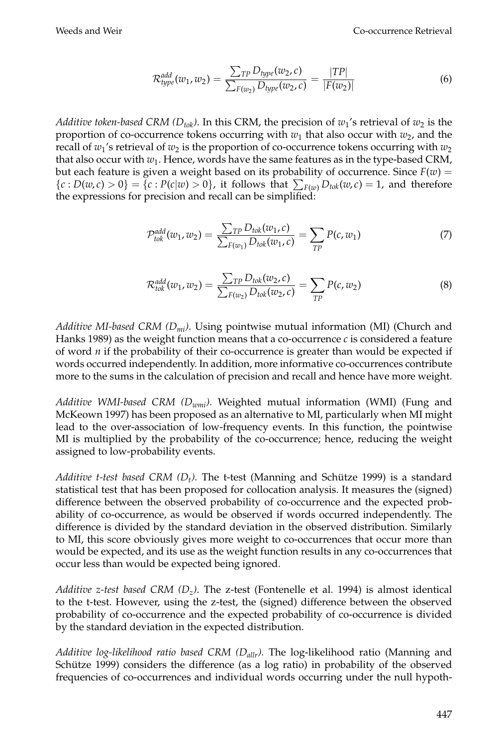$$
\mathcal{R}^{add}_{type}(w_1, w_2) = \frac{\sum_{TP} D_{type}(w_2, c)}{\sum_{F(w_2)} D_{type}(w_2, c)} = \frac{|TP|}{|F(w_2)|}
$$
(6)

*Additive token-based CRM (* $D_{tok}$ *).* In this CRM, the precision of  $w_1$ 's retrieval of  $w_2$  is the proportion of co-occurrence tokens occurring with  $w_1$  that also occur with  $w_2$ , and the recall of  $w_1$ 's retrieval of  $w_2$  is the proportion of co-occurrence tokens occurring with  $w_2$ that also occur with  $w_1$ . Hence, words have the same features as in the type-based CRM, but each feature is given a weight based on its probability of occurrence. Since  $F(w)$  =  ${c : D(w, c) > 0} = {c : P(c|w) > 0}$ , it follows that  $\sum_{F(w)} D_{tok}(w, c) = 1$ , and therefore the expressions for precision and recall can be simplified:

$$
\mathcal{P}_{tok}^{add}(w_1, w_2) = \frac{\sum_{TP} D_{tok}(w_1, c)}{\sum_{F(w_1)} D_{tok}(w_1, c)} = \sum_{TP} P(c, w_1)
$$
\n(7)

$$
\mathcal{R}_{tok}^{add}(w_1, w_2) = \frac{\sum_{TP} D_{tok}(w_2, c)}{\sum_{F(w_2)} D_{tok}(w_2, c)} = \sum_{TP} P(c, w_2)
$$
\n(8)

*Additive MI-based CRM (Dmi).* Using pointwise mutual information (MI) (Church and Hanks 1989) as the weight function means that a co-occurrence *c* is considered a feature of word *n* if the probability of their co-occurrence is greater than would be expected if words occurred independently. In addition, more informative co-occurrences contribute more to the sums in the calculation of precision and recall and hence have more weight.

*Additive WMI-based CRM (Dwmi).* Weighted mutual information (WMI) (Fung and McKeown 1997) has been proposed as an alternative to MI, particularly when MI might lead to the over-association of low-frequency events. In this function, the pointwise MI is multiplied by the probability of the co-occurrence; hence, reducing the weight assigned to low-probability events.

*Additive t-test based CRM (D<sub>t</sub>).* The t-test (Manning and Schütze 1999) is a standard statistical test that has been proposed for collocation analysis. It measures the (signed) difference between the observed probability of co-occurrence and the expected probability of co-occurrence, as would be observed if words occurred independently. The difference is divided by the standard deviation in the observed distribution. Similarly to MI, this score obviously gives more weight to co-occurrences that occur more than would be expected, and its use as the weight function results in any co-occurrences that occur less than would be expected being ignored.

*Additive z-test based CRM (D<sub>z</sub>).* The z-test (Fontenelle et al. 1994) is almost identical to the t-test. However, using the z-test, the (signed) difference between the observed probability of co-occurrence and the expected probability of co-occurrence is divided by the standard deviation in the expected distribution.

*Additive log-likelihood ratio based CRM (Dallr).* The log-likelihood ratio (Manning and Schütze 1999) considers the difference (as a  $log$  ratio) in probability of the observed frequencies of co-occurrences and individual words occurring under the null hypoth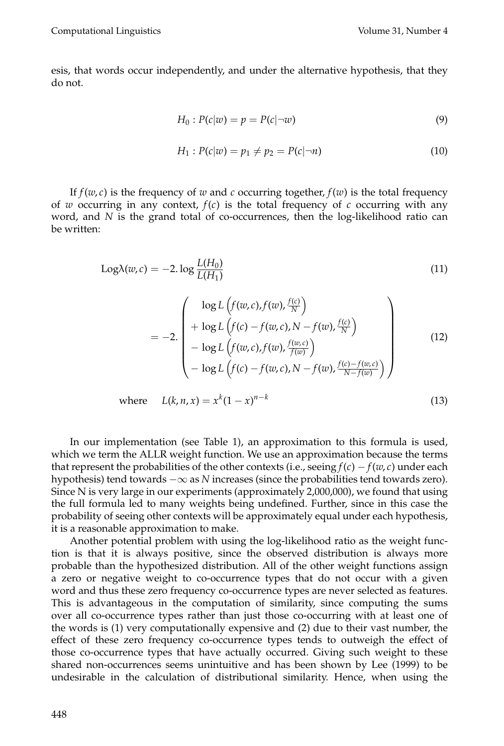esis, that words occur independently, and under the alternative hypothesis, that they do not.

$$
H_0: P(c|w) = p = P(c|\neg w)
$$
\n<sup>(9)</sup>

$$
H_1: P(c|w) = p_1 \neq p_2 = P(c|\neg n)
$$
\n(10)

If  $f(w, c)$  is the frequency of *w* and *c* occurring together,  $f(w)$  is the total frequency of *w* occurring in any context,  $f(c)$  is the total frequency of *c* occurring with any word, and *N* is the grand total of co-occurrences, then the log-likelihood ratio can be written:

$$
Log\lambda(w,c) = -2.\log\frac{L(H_0)}{L(H_1)}
$$
\n(11)

$$
= -2 \cdot \begin{pmatrix} \log L \left( f(w, c), f(w), \frac{f(c)}{N} \right) \\ + \log L \left( f(c) - f(w, c), N - f(w), \frac{f(c)}{N} \right) \\ - \log L \left( f(w, c), f(w), \frac{f(w, c)}{f(w)} \right) \\ - \log L \left( f(c) - f(w, c), N - f(w), \frac{f(c) - f(w, c)}{N - f(w)} \right) \end{pmatrix}
$$
(12)

where 
$$
L(k, n, x) = x^k (1 - x)^{n-k}
$$
 (13)

In our implementation (see Table 1), an approximation to this formula is used, which we term the ALLR weight function. We use an approximation because the terms that represent the probabilities of the other contexts (i.e., seeing  $f(c) - f(w, c)$  under each hypothesis) tend towards −∞ as *N* increases (since the probabilities tend towards zero). Since N is very large in our experiments (approximately 2,000,000), we found that using the full formula led to many weights being undefined. Further, since in this case the probability of seeing other contexts will be approximately equal under each hypothesis, it is a reasonable approximation to make.

Another potential problem with using the log-likelihood ratio as the weight function is that it is always positive, since the observed distribution is always more probable than the hypothesized distribution. All of the other weight functions assign a zero or negative weight to co-occurrence types that do not occur with a given word and thus these zero frequency co-occurrence types are never selected as features. This is advantageous in the computation of similarity, since computing the sums over all co-occurrence types rather than just those co-occurring with at least one of the words is (1) very computationally expensive and (2) due to their vast number, the effect of these zero frequency co-occurrence types tends to outweigh the effect of those co-occurrence types that have actually occurred. Giving such weight to these shared non-occurrences seems unintuitive and has been shown by Lee (1999) to be undesirable in the calculation of distributional similarity. Hence, when using the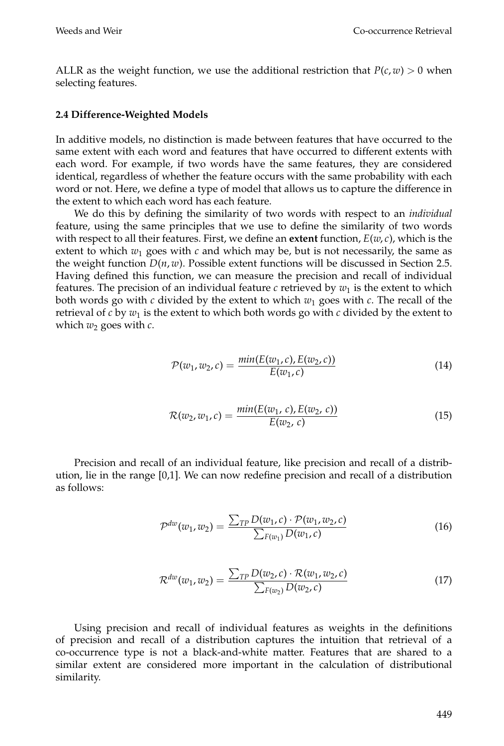ALLR as the weight function, we use the additional restriction that  $P(c, w) > 0$  when selecting features.

#### **2.4 Difference-Weighted Models**

In additive models, no distinction is made between features that have occurred to the same extent with each word and features that have occurred to different extents with each word. For example, if two words have the same features, they are considered identical, regardless of whether the feature occurs with the same probability with each word or not. Here, we define a type of model that allows us to capture the difference in the extent to which each word has each feature.

We do this by defining the similarity of two words with respect to an *individual* feature, using the same principles that we use to define the similarity of two words with respect to all their features. First, we define an **extent** function, *E*(*w*, *c*), which is the extent to which  $w_1$  goes with  $c$  and which may be, but is not necessarily, the same as the weight function  $D(n, w)$ . Possible extent functions will be discussed in Section 2.5. Having defined this function, we can measure the precision and recall of individual features. The precision of an individual feature *c* retrieved by  $w_1$  is the extent to which both words go with *c* divided by the extent to which *w*<sup>1</sup> goes with *c*. The recall of the retrieval of  $c$  by  $w_1$  is the extent to which both words go with  $c$  divided by the extent to which  $w_2$  goes with  $c$ .

$$
\mathcal{P}(w_1, w_2, c) = \frac{\min(E(w_1, c), E(w_2, c))}{E(w_1, c)}
$$
\n(14)

$$
\mathcal{R}(w_2, w_1, c) = \frac{\min(E(w_1, c), E(w_2, c))}{E(w_2, c)}
$$
\n(15)

Precision and recall of an individual feature, like precision and recall of a distribution, lie in the range [0,1]. We can now redefine precision and recall of a distribution as follows:

$$
\mathcal{P}^{dw}(w_1, w_2) = \frac{\sum_{TP} D(w_1, c) \cdot \mathcal{P}(w_1, w_2, c)}{\sum_{F(w_1)} D(w_1, c)}
$$
(16)

$$
\mathcal{R}^{dw}(w_1, w_2) = \frac{\sum_{TP} D(w_2, c) \cdot \mathcal{R}(w_1, w_2, c)}{\sum_{F(w_2)} D(w_2, c)}
$$
(17)

Using precision and recall of individual features as weights in the definitions of precision and recall of a distribution captures the intuition that retrieval of a co-occurrence type is not a black-and-white matter. Features that are shared to a similar extent are considered more important in the calculation of distributional similarity.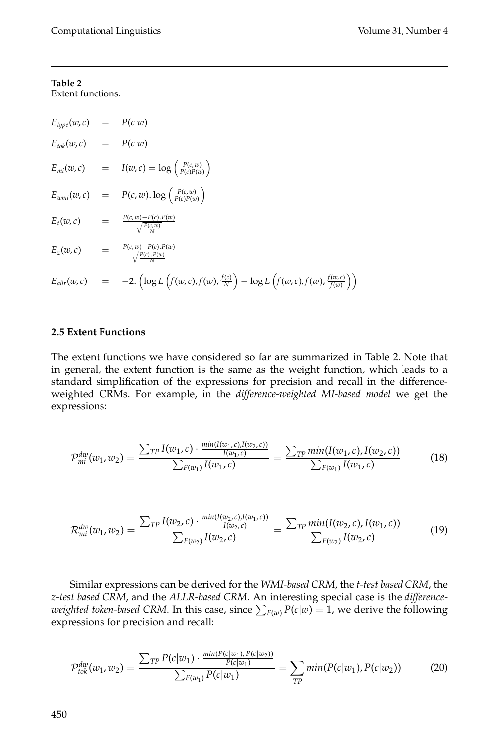#### **Table 2** Extent functions.

$$
E_{type}(w, c) = P(c|w)
$$
  
\n
$$
E_{tok}(w, c) = P(c|w)
$$
  
\n
$$
E_{mi}(w, c) = I(w, c) = \log\left(\frac{P(c, w)}{P(c)P(w)}\right)
$$
  
\n
$$
E_{wmi}(w, c) = P(c, w) \cdot \log\left(\frac{P(c, w)}{P(c)P(w)}\right)
$$
  
\n
$$
E_t(w, c) = \frac{P(c, w) - P(c) \cdot P(w)}{\sqrt{\frac{P(c, w)}{N}}}
$$
  
\n
$$
E_z(w, c) = \frac{P(c, w) - P(c) \cdot P(w)}{\sqrt{\frac{P(c) \cdot P(w)}{N}}}
$$
  
\n
$$
E_{allr}(w, c) = -2 \cdot \left(\log L\left(f(w, c), f(w), \frac{f(c)}{N}\right) - \log L\left(f(w, c), f(w), \frac{f(w, c)}{f(w)}\right)\right)
$$

## **2.5 Extent Functions**

The extent functions we have considered so far are summarized in Table 2. Note that in general, the extent function is the same as the weight function, which leads to a standard simplification of the expressions for precision and recall in the differenceweighted CRMs. For example, in the *difference-weighted MI-based model* we get the expressions:

$$
\mathcal{P}_{mi}^{dw}(w_1, w_2) = \frac{\sum_{TP} I(w_1, c) \cdot \frac{min(I(w_1, c), I(w_2, c))}{I(w_1, c)}}{\sum_{F(w_1)} I(w_1, c)} = \frac{\sum_{TP} min(I(w_1, c), I(w_2, c))}{\sum_{F(w_1)} I(w_1, c)}
$$
(18)

$$
\mathcal{R}_{mi}^{dw}(w_1, w_2) = \frac{\sum_{TP} I(w_2, c) \cdot \frac{min(I(w_2, c), I(w_1, c))}{I(w_2, c)}}{\sum_{F(w_2)} I(w_2, c)} = \frac{\sum_{TP} min(I(w_2, c), I(w_1, c))}{\sum_{F(w_2)} I(w_2, c)}
$$
(19)

Similar expressions can be derived for the *WMI-based CRM*, the *t-test based CRM*, the *z-test based CRM*, and the *ALLR-based CRM*. An interesting special case is the *difference*weighted token-based CRM. In this case, since  $\sum_{F(w)} P(c|w) = 1$ , we derive the following expressions for precision and recall:

$$
\mathcal{P}_{tok}^{dw}(w_1, w_2) = \frac{\sum_{TP} P(c|w_1) \cdot \frac{min(P(c|w_1), P(c|w_2))}{P(c|w_1)}}{\sum_{F(w_1)} P(c|w_1)} = \sum_{TP} min(P(c|w_1), P(c|w_2)) \tag{20}
$$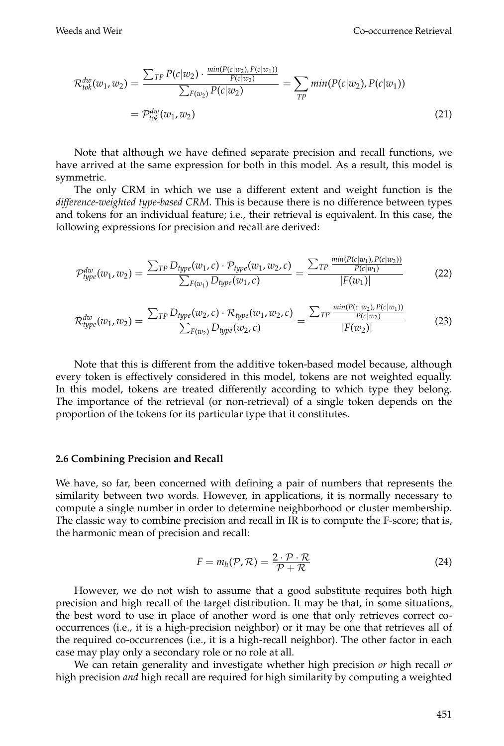$$
\mathcal{R}_{tok}^{dw}(w_1, w_2) = \frac{\sum_{TP} P(c|w_2) \cdot \frac{min(P(c|w_2), P(c|w_1))}{P(c|w_2)}}{\sum_{F(w_2)} P(c|w_2)} = \sum_{TP} min(P(c|w_2), P(c|w_1))
$$
\n
$$
= \mathcal{P}_{tok}^{dw}(w_1, w_2) \tag{21}
$$

Note that although we have defined separate precision and recall functions, we have arrived at the same expression for both in this model. As a result, this model is symmetric.

The only CRM in which we use a different extent and weight function is the *difference-weighted type-based CRM*. This is because there is no difference between types and tokens for an individual feature; i.e., their retrieval is equivalent. In this case, the following expressions for precision and recall are derived:

$$
\mathcal{P}_{type}^{dw}(w_1, w_2) = \frac{\sum_{TP} D_{type}(w_1, c) \cdot \mathcal{P}_{type}(w_1, w_2, c)}{\sum_{F(w_1)} D_{type}(w_1, c)} = \frac{\sum_{TP} \frac{min(P(c|w_1), P(c|w_2))}{P(c|w_1)}}{|F(w_1)|}
$$
(22)

$$
\mathcal{R}_{type}^{dw}(w_1, w_2) = \frac{\sum_{TP} D_{type}(w_2, c) \cdot \mathcal{R}_{type}(w_1, w_2, c)}{\sum_{F(w_2)} D_{type}(w_2, c)} = \frac{\sum_{TP} \frac{min(P(c|w_2), P(c|w_1))}{P(c|w_2)}}{|F(w_2)|}
$$
(23)

Note that this is different from the additive token-based model because, although every token is effectively considered in this model, tokens are not weighted equally. In this model, tokens are treated differently according to which type they belong. The importance of the retrieval (or non-retrieval) of a single token depends on the proportion of the tokens for its particular type that it constitutes.

#### **2.6 Combining Precision and Recall**

We have, so far, been concerned with defining a pair of numbers that represents the similarity between two words. However, in applications, it is normally necessary to compute a single number in order to determine neighborhood or cluster membership. The classic way to combine precision and recall in IR is to compute the F-score; that is, the harmonic mean of precision and recall:

$$
F = m_h(\mathcal{P}, \mathcal{R}) = \frac{2 \cdot \mathcal{P} \cdot \mathcal{R}}{\mathcal{P} + \mathcal{R}}
$$
(24)

However, we do not wish to assume that a good substitute requires both high precision and high recall of the target distribution. It may be that, in some situations, the best word to use in place of another word is one that only retrieves correct cooccurrences (i.e., it is a high-precision neighbor) or it may be one that retrieves all of the required co-occurrences (i.e., it is a high-recall neighbor). The other factor in each case may play only a secondary role or no role at all.

We can retain generality and investigate whether high precision *or* high recall *or* high precision *and* high recall are required for high similarity by computing a weighted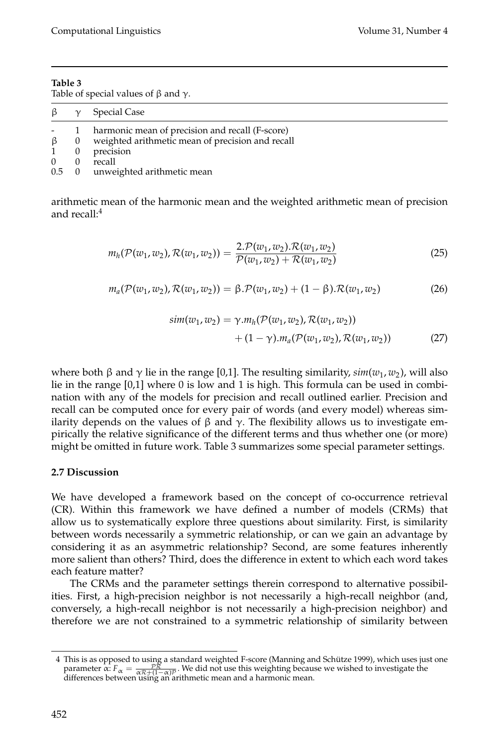| Table 3                                           |  |
|---------------------------------------------------|--|
| Table of special values of $\beta$ and $\gamma$ . |  |

| $\beta$ $\gamma$ |                | Special Case                                       |
|------------------|----------------|----------------------------------------------------|
|                  | $\overline{1}$ | harmonic mean of precision and recall (F-score)    |
| $\beta$          |                | 0 weighted arithmetic mean of precision and recall |
|                  | $\overline{0}$ | precision                                          |
| $\Omega$         | $\Omega$       | recall                                             |
|                  |                | 0.5 0 unweighted arithmetic mean                   |

arithmetic mean of the harmonic mean and the weighted arithmetic mean of precision and recall:4

$$
m_h(\mathcal{P}(w_1, w_2), \mathcal{R}(w_1, w_2)) = \frac{2 \cdot \mathcal{P}(w_1, w_2) \cdot \mathcal{R}(w_1, w_2)}{\mathcal{P}(w_1, w_2) + \mathcal{R}(w_1, w_2)}
$$
(25)

$$
m_a(\mathcal{P}(w_1, w_2), \mathcal{R}(w_1, w_2)) = \beta \cdot \mathcal{P}(w_1, w_2) + (1 - \beta) \cdot \mathcal{R}(w_1, w_2)
$$
 (26)

$$
sim(w_1, w_2) = \gamma.m_h(\mathcal{P}(w_1, w_2), \mathcal{R}(w_1, w_2)) + (1 - \gamma).m_a(\mathcal{P}(w_1, w_2), \mathcal{R}(w_1, w_2))
$$
(27)

where both β and γ lie in the range [0,1]. The resulting similarity,  $sim(w_1, w_2)$ , will also lie in the range [0,1] where 0 is low and 1 is high. This formula can be used in combination with any of the models for precision and recall outlined earlier. Precision and recall can be computed once for every pair of words (and every model) whereas similarity depends on the values of β and  $\gamma$ . The flexibility allows us to investigate empirically the relative significance of the different terms and thus whether one (or more) might be omitted in future work. Table 3 summarizes some special parameter settings.

## **2.7 Discussion**

We have developed a framework based on the concept of co-occurrence retrieval (CR). Within this framework we have defined a number of models (CRMs) that allow us to systematically explore three questions about similarity. First, is similarity between words necessarily a symmetric relationship, or can we gain an advantage by considering it as an asymmetric relationship? Second, are some features inherently more salient than others? Third, does the difference in extent to which each word takes each feature matter?

The CRMs and the parameter settings therein correspond to alternative possibilities. First, a high-precision neighbor is not necessarily a high-recall neighbor (and, conversely, a high-recall neighbor is not necessarily a high-precision neighbor) and therefore we are not constrained to a symmetric relationship of similarity between

<sup>4</sup> This is as opposed to using a standard weighted F-score (Manning and Schutze 1999), which uses just one ¨ parameter  $\alpha$ :  $F_{\alpha} = \frac{PR}{\alpha R + (1-\alpha)P}$ . We did not use this weighting because we wished to investigate the differences between using an arithmetic mean and a harmonic mean.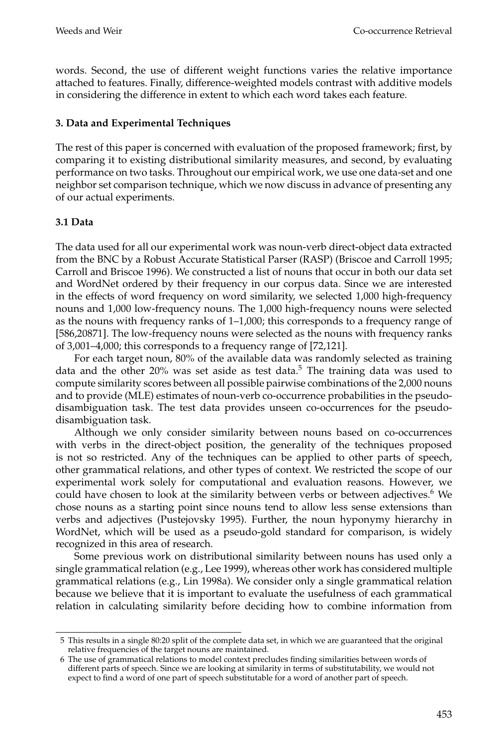words. Second, the use of different weight functions varies the relative importance attached to features. Finally, difference-weighted models contrast with additive models in considering the difference in extent to which each word takes each feature.

## **3. Data and Experimental Techniques**

The rest of this paper is concerned with evaluation of the proposed framework; first, by comparing it to existing distributional similarity measures, and second, by evaluating performance on two tasks. Throughout our empirical work, we use one data-set and one neighbor set comparison technique, which we now discuss in advance of presenting any of our actual experiments.

## **3.1 Data**

The data used for all our experimental work was noun-verb direct-object data extracted from the BNC by a Robust Accurate Statistical Parser (RASP) (Briscoe and Carroll 1995; Carroll and Briscoe 1996). We constructed a list of nouns that occur in both our data set and WordNet ordered by their frequency in our corpus data. Since we are interested in the effects of word frequency on word similarity, we selected 1,000 high-frequency nouns and 1,000 low-frequency nouns. The 1,000 high-frequency nouns were selected as the nouns with frequency ranks of 1–1,000; this corresponds to a frequency range of [586,20871]. The low-frequency nouns were selected as the nouns with frequency ranks of 3,001–4,000; this corresponds to a frequency range of [72,121].

For each target noun, 80% of the available data was randomly selected as training data and the other 20% was set aside as test data.<sup>5</sup> The training data was used to compute similarity scores between all possible pairwise combinations of the 2,000 nouns and to provide (MLE) estimates of noun-verb co-occurrence probabilities in the pseudodisambiguation task. The test data provides unseen co-occurrences for the pseudodisambiguation task.

Although we only consider similarity between nouns based on co-occurrences with verbs in the direct-object position, the generality of the techniques proposed is not so restricted. Any of the techniques can be applied to other parts of speech, other grammatical relations, and other types of context. We restricted the scope of our experimental work solely for computational and evaluation reasons. However, we could have chosen to look at the similarity between verbs or between adjectives.<sup>6</sup> We chose nouns as a starting point since nouns tend to allow less sense extensions than verbs and adjectives (Pustejovsky 1995). Further, the noun hyponymy hierarchy in WordNet, which will be used as a pseudo-gold standard for comparison, is widely recognized in this area of research.

Some previous work on distributional similarity between nouns has used only a single grammatical relation (e.g., Lee 1999), whereas other work has considered multiple grammatical relations (e.g., Lin 1998a). We consider only a single grammatical relation because we believe that it is important to evaluate the usefulness of each grammatical relation in calculating similarity before deciding how to combine information from

<sup>5</sup> This results in a single 80:20 split of the complete data set, in which we are guaranteed that the original relative frequencies of the target nouns are maintained.

<sup>6</sup> The use of grammatical relations to model context precludes finding similarities between words of different parts of speech. Since we are looking at similarity in terms of substitutability, we would not expect to find a word of one part of speech substitutable for a word of another part of speech.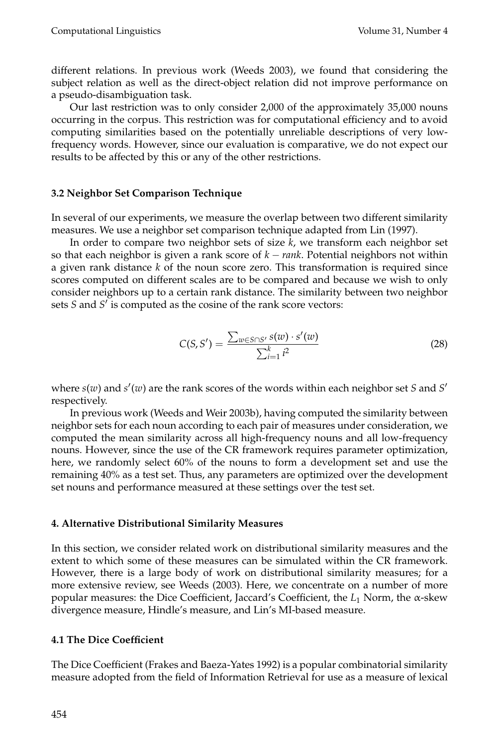different relations. In previous work (Weeds 2003), we found that considering the subject relation as well as the direct-object relation did not improve performance on a pseudo-disambiguation task.

Our last restriction was to only consider 2,000 of the approximately 35,000 nouns occurring in the corpus. This restriction was for computational efficiency and to avoid computing similarities based on the potentially unreliable descriptions of very lowfrequency words. However, since our evaluation is comparative, we do not expect our results to be affected by this or any of the other restrictions.

## **3.2 Neighbor Set Comparison Technique**

In several of our experiments, we measure the overlap between two different similarity measures. We use a neighbor set comparison technique adapted from Lin (1997).

In order to compare two neighbor sets of size *k*, we transform each neighbor set so that each neighbor is given a rank score of *k* − *rank*. Potential neighbors not within a given rank distance *k* of the noun score zero. This transformation is required since scores computed on different scales are to be compared and because we wish to only consider neighbors up to a certain rank distance. The similarity between two neighbor sets *S* and *S'* is computed as the cosine of the rank score vectors:

$$
C(S, S') = \frac{\sum_{w \in S \cap S'} s(w) \cdot s'(w)}{\sum_{i=1}^{k} i^2}
$$
 (28)

where  $s(w)$  and  $s'(w)$  are the rank scores of the words within each neighbor set *S* and *S'* respectively.

In previous work (Weeds and Weir 2003b), having computed the similarity between neighbor sets for each noun according to each pair of measures under consideration, we computed the mean similarity across all high-frequency nouns and all low-frequency nouns. However, since the use of the CR framework requires parameter optimization, here, we randomly select 60% of the nouns to form a development set and use the remaining 40% as a test set. Thus, any parameters are optimized over the development set nouns and performance measured at these settings over the test set.

#### **4. Alternative Distributional Similarity Measures**

In this section, we consider related work on distributional similarity measures and the extent to which some of these measures can be simulated within the CR framework. However, there is a large body of work on distributional similarity measures; for a more extensive review, see Weeds (2003). Here, we concentrate on a number of more popular measures: the Dice Coefficient, Jaccard's Coefficient, the *L*<sup>1</sup> Norm, the α-skew divergence measure, Hindle's measure, and Lin's MI-based measure.

## **4.1 The Dice Coefficient**

The Dice Coefficient (Frakes and Baeza-Yates 1992) is a popular combinatorial similarity measure adopted from the field of Information Retrieval for use as a measure of lexical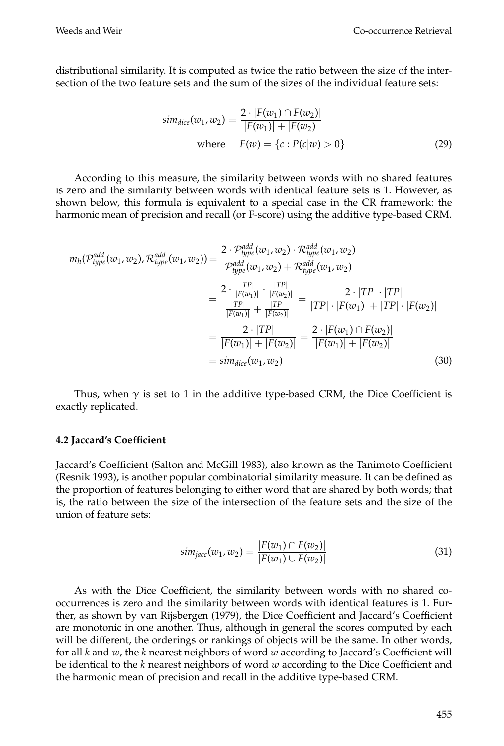distributional similarity. It is computed as twice the ratio between the size of the intersection of the two feature sets and the sum of the sizes of the individual feature sets:

$$
sim_{dice}(w_1, w_2) = \frac{2 \cdot |F(w_1) \cap F(w_2)|}{|F(w_1)| + |F(w_2)|}
$$
  
where  $F(w) = \{c : P(c|w) > 0\}$  (29)

According to this measure, the similarity between words with no shared features is zero and the similarity between words with identical feature sets is 1. However, as shown below, this formula is equivalent to a special case in the CR framework: the harmonic mean of precision and recall (or F-score) using the additive type-based CRM.

$$
m_h(\mathcal{P}_{type}^{add}(w_1, w_2), \mathcal{R}_{type}^{add}(w_1, w_2)) = \frac{2 \cdot \mathcal{P}_{type}^{add}(w_1, w_2) \cdot \mathcal{R}_{type}^{add}(w_1, w_2)}{\mathcal{P}_{type}^{add}(w_1, w_2) + \mathcal{R}_{type}^{add}(w_1, w_2)}
$$
  

$$
= \frac{2 \cdot \frac{|TP|}{|F(w_1)|} \cdot \frac{|TP|}{|F(w_2)|}}{\frac{|TP|}{|F(w_1)|} + \frac{|TP|}{|F(w_2)|}} = \frac{2 \cdot |TP| \cdot |TP|}{|TP| \cdot |F(w_1)| + |TP| \cdot |F(w_2)|}
$$
  

$$
= \frac{2 \cdot |TP|}{|F(w_1)| + |F(w_2)|} = \frac{2 \cdot |F(w_1) \cap F(w_2)|}{|F(w_1)| + |F(w_2)|}
$$
  

$$
= sim_{dice}(w_1, w_2)
$$
(30)

Thus, when  $\gamma$  is set to 1 in the additive type-based CRM, the Dice Coefficient is exactly replicated.

#### **4.2 Jaccard's Coefficient**

Jaccard's Coefficient (Salton and McGill 1983), also known as the Tanimoto Coefficient (Resnik 1993), is another popular combinatorial similarity measure. It can be defined as the proportion of features belonging to either word that are shared by both words; that is, the ratio between the size of the intersection of the feature sets and the size of the union of feature sets:

$$
sim_{jacc}(w_1, w_2) = \frac{|F(w_1) \cap F(w_2)|}{|F(w_1) \cup F(w_2)|}
$$
\n(31)

As with the Dice Coefficient, the similarity between words with no shared cooccurrences is zero and the similarity between words with identical features is 1. Further, as shown by van Rijsbergen (1979), the Dice Coefficient and Jaccard's Coefficient are monotonic in one another. Thus, although in general the scores computed by each will be different, the orderings or rankings of objects will be the same. In other words, for all *k* and *w*, the *k* nearest neighbors of word *w* according to Jaccard's Coefficient will be identical to the *k* nearest neighbors of word *w* according to the Dice Coefficient and the harmonic mean of precision and recall in the additive type-based CRM.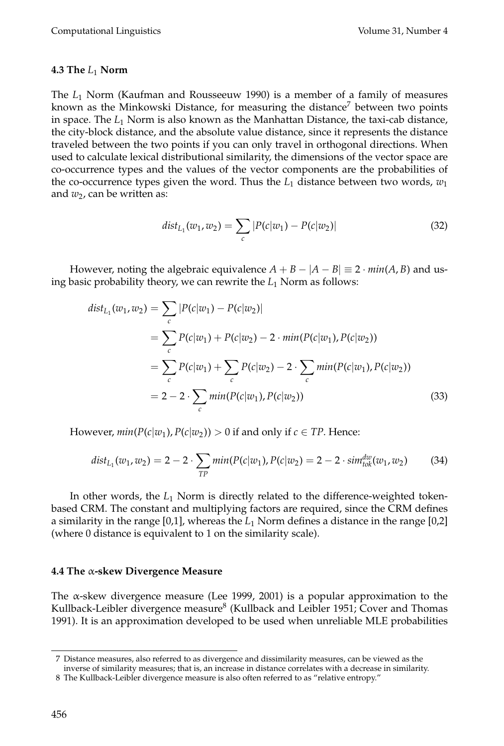## **4.3 The** *L*<sup>1</sup> **Norm**

The *L*<sup>1</sup> Norm (Kaufman and Rousseeuw 1990) is a member of a family of measures known as the Minkowski Distance, for measuring the distance<sup>7</sup> between two points in space. The *L*<sup>1</sup> Norm is also known as the Manhattan Distance, the taxi-cab distance, the city-block distance, and the absolute value distance, since it represents the distance traveled between the two points if you can only travel in orthogonal directions. When used to calculate lexical distributional similarity, the dimensions of the vector space are co-occurrence types and the values of the vector components are the probabilities of the co-occurrence types given the word. Thus the  $L_1$  distance between two words,  $w_1$ and  $w_2$ , can be written as:

$$
dist_{L_1}(w_1, w_2) = \sum_c |P(c|w_1) - P(c|w_2)| \tag{32}
$$

However, noting the algebraic equivalence  $A + B - |A - B| \equiv 2 \cdot min(A, B)$  and using basic probability theory, we can rewrite the *L*<sup>1</sup> Norm as follows:

$$
dist_{L_1}(w_1, w_2) = \sum_{c} |P(c|w_1) - P(c|w_2)|
$$
  
= 
$$
\sum_{c} P(c|w_1) + P(c|w_2) - 2 \cdot min(P(c|w_1), P(c|w_2))
$$
  
= 
$$
\sum_{c} P(c|w_1) + \sum_{c} P(c|w_2) - 2 \cdot \sum_{c} min(P(c|w_1), P(c|w_2))
$$
  
= 
$$
2 - 2 \cdot \sum_{c} min(P(c|w_1), P(c|w_2))
$$
 (33)

However,  $min(P(c|w_1), P(c|w_2)) > 0$  if and only if  $c \in TP$ . Hence:

$$
dist_{L_1}(w_1, w_2) = 2 - 2 \cdot \sum_{TP} min(P(c|w_1), P(c|w_2)) = 2 - 2 \cdot sim_{tok}^{dw}(w_1, w_2)
$$
 (34)

In other words, the *L*<sup>1</sup> Norm is directly related to the difference-weighted tokenbased CRM. The constant and multiplying factors are required, since the CRM defines a similarity in the range [0,1], whereas the *L*<sup>1</sup> Norm defines a distance in the range [0,2] (where 0 distance is equivalent to 1 on the similarity scale).

#### **4.4 The** α**-skew Divergence Measure**

The α-skew divergence measure (Lee 1999, 2001) is a popular approximation to the Kullback-Leibler divergence measure<sup>8</sup> (Kullback and Leibler 1951; Cover and Thomas 1991). It is an approximation developed to be used when unreliable MLE probabilities

<sup>7</sup> Distance measures, also referred to as divergence and dissimilarity measures, can be viewed as the

inverse of similarity measures; that is, an increase in distance correlates with a decrease in similarity.

<sup>8</sup> The Kullback-Leibler divergence measure is also often referred to as "relative entropy."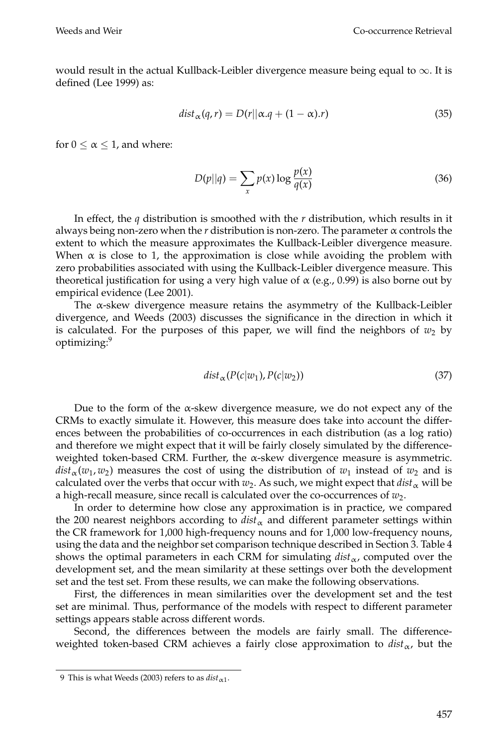would result in the actual Kullback-Leibler divergence measure being equal to  $\infty$ . It is defined (Lee 1999) as:

$$
dist_{\alpha}(q, r) = D(r||\alpha. q + (1 - \alpha).r)
$$
\n(35)

for  $0 \le \alpha \le 1$ , and where:

$$
D(p||q) = \sum_{x} p(x) \log \frac{p(x)}{q(x)}
$$
\n(36)

In effect, the *q* distribution is smoothed with the *r* distribution, which results in it always being non-zero when the  $r$  distribution is non-zero. The parameter  $\alpha$  controls the extent to which the measure approximates the Kullback-Leibler divergence measure. When  $\alpha$  is close to 1, the approximation is close while avoiding the problem with zero probabilities associated with using the Kullback-Leibler divergence measure. This theoretical justification for using a very high value of  $\alpha$  (e.g., 0.99) is also borne out by empirical evidence (Lee 2001).

The  $\alpha$ -skew divergence measure retains the asymmetry of the Kullback-Leibler divergence, and Weeds (2003) discusses the significance in the direction in which it is calculated. For the purposes of this paper, we will find the neighbors of  $w_2$  by optimizing:9

$$
dist_{\alpha}(P(c|w_1), P(c|w_2))
$$
\n(37)

Due to the form of the  $\alpha$ -skew divergence measure, we do not expect any of the CRMs to exactly simulate it. However, this measure does take into account the differences between the probabilities of co-occurrences in each distribution (as a log ratio) and therefore we might expect that it will be fairly closely simulated by the differenceweighted token-based CRM. Further, the α-skew divergence measure is asymmetric.  $dist_\alpha(w_1, w_2)$  measures the cost of using the distribution of  $w_1$  instead of  $w_2$  and is calculated over the verbs that occur with  $w_2$ . As such, we might expect that  $dist_\alpha$  will be a high-recall measure, since recall is calculated over the co-occurrences of  $w_2$ .

In order to determine how close any approximation is in practice, we compared the 200 nearest neighbors according to  $dist_\alpha$  and different parameter settings within the CR framework for 1,000 high-frequency nouns and for 1,000 low-frequency nouns, using the data and the neighbor set comparison technique described in Section 3. Table 4 shows the optimal parameters in each CRM for simulating  $dist_\alpha$ , computed over the development set, and the mean similarity at these settings over both the development set and the test set. From these results, we can make the following observations.

First, the differences in mean similarities over the development set and the test set are minimal. Thus, performance of the models with respect to different parameter settings appears stable across different words.

Second, the differences between the models are fairly small. The differenceweighted token-based CRM achieves a fairly close approximation to  $dist_{\alpha}$ , but the

<sup>9</sup> This is what Weeds (2003) refers to as  $dist_{\alpha_1}$ .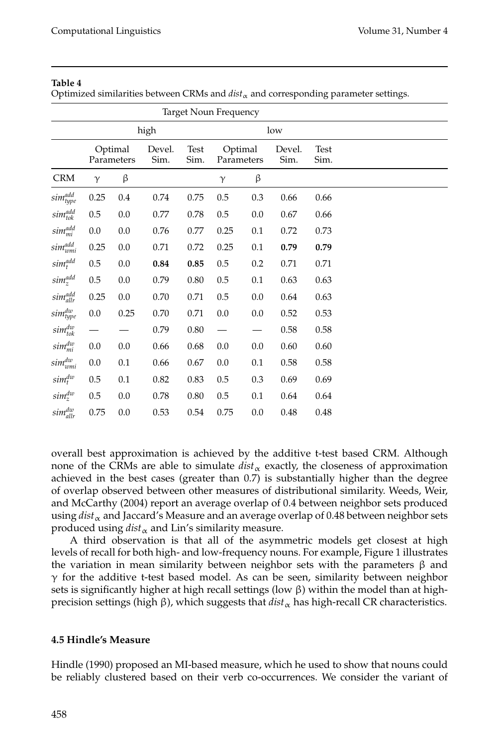#### **Table 4**

Optimized similarities between CRMs and  $dist_\alpha$  and corresponding parameter settings.

| <b>Target Noun Frequency</b>     |             |                       |                |              |                       |         |                |                     |  |  |  |  |  |
|----------------------------------|-------------|-----------------------|----------------|--------------|-----------------------|---------|----------------|---------------------|--|--|--|--|--|
|                                  | high<br>low |                       |                |              |                       |         |                |                     |  |  |  |  |  |
|                                  |             | Optimal<br>Parameters | Devel.<br>Sim. | Test<br>Sim. | Optimal<br>Parameters |         | Devel.<br>Sim. | <b>Test</b><br>Sim. |  |  |  |  |  |
| $\mathbf{C}\mathbf{R}\mathbf{M}$ | $\gamma$    | β                     |                |              | $\gamma$              | β       |                |                     |  |  |  |  |  |
| sim <sup>add</sup>               | 0.25        | $0.4\,$               | $0.74\,$       | 0.75         | $0.5\,$               | 0.3     | 0.66           | 0.66                |  |  |  |  |  |
| $sim_{tok}^{add}$                | $0.5\,$     | $0.0\,$               | 0.77           | 0.78         | 0.5                   | 0.0     | 0.67           | 0.66                |  |  |  |  |  |
| $sim_{mi}^{add}$                 | $0.0\,$     | $0.0\,$               | 0.76           | 0.77         | 0.25                  | $0.1\,$ | 0.72           | 0.73                |  |  |  |  |  |
| $sim_{wmi}^{add}$                | 0.25        | 0.0                   | 0.71           | 0.72         | 0.25                  | 0.1     | 0.79           | 0.79                |  |  |  |  |  |
| $sim_t^{add}$                    | $0.5\,$     | $0.0\,$               | 0.84           | 0.85         | $0.5\,$               | $0.2\,$ | 0.71           | 0.71                |  |  |  |  |  |
| $sim_z^{add}$                    | $0.5\,$     | $0.0\,$               | 0.79           | 0.80         | 0.5                   | 0.1     | 0.63           | 0.63                |  |  |  |  |  |
| $sim_{allr}^{add}$               | 0.25        | $0.0\,$               | $0.70\,$       | 0.71         | $0.5\,$               | $0.0\,$ | 0.64           | 0.63                |  |  |  |  |  |
| sim <sup>dw</sup>                | $0.0\,$     | 0.25                  | 0.70           | 0.71         | 0.0                   | 0.0     | 0.52           | 0.53                |  |  |  |  |  |
| $sim_{tok}^{dw}$                 |             |                       | 0.79           | $0.80\,$     |                       |         | 0.58           | $0.58\,$            |  |  |  |  |  |
| $sim_{mi}^{dw}$                  | $0.0\,$     | $0.0\,$               | 0.66           | 0.68         | 0.0                   | 0.0     | 0.60           | 0.60                |  |  |  |  |  |
| $sim_{wmi}^{dw}$                 | $0.0\,$     | $0.1\,$               | 0.66           | 0.67         | 0.0                   | 0.1     | 0.58           | $0.58\,$            |  |  |  |  |  |
| $sim_t^{dw}$                     | 0.5         | $0.1\,$               | 0.82           | 0.83         | 0.5                   | 0.3     | 0.69           | 0.69                |  |  |  |  |  |
| $sim_z^{dw}$                     | $0.5\,$     | 0.0                   | 0.78           | 0.80         | $0.5\,$               | 0.1     | 0.64           | 0.64                |  |  |  |  |  |
| $sim_{allr}^{dw}$                | 0.75        | 0.0                   | 0.53           | 0.54         | 0.75                  | 0.0     | 0.48           | 0.48                |  |  |  |  |  |

overall best approximation is achieved by the additive t-test based CRM. Although none of the CRMs are able to simulate  $dist_\alpha$  exactly, the closeness of approximation achieved in the best cases (greater than 0.7) is substantially higher than the degree of overlap observed between other measures of distributional similarity. Weeds, Weir, and McCarthy (2004) report an average overlap of 0.4 between neighbor sets produced using *dist*<sub>α</sub> and Jaccard's Measure and an average overlap of 0.48 between neighbor sets produced using  $dist_{\alpha}$  and Lin's similarity measure.

A third observation is that all of the asymmetric models get closest at high levels of recall for both high- and low-frequency nouns. For example, Figure 1 illustrates the variation in mean similarity between neighbor sets with the parameters  $\beta$  and  $\gamma$  for the additive t-test based model. As can be seen, similarity between neighbor sets is significantly higher at high recall settings (low  $\beta$ ) within the model than at highprecision settings (high β), which suggests that  $dist_\alpha$  has high-recall CR characteristics.

## **4.5 Hindle's Measure**

Hindle (1990) proposed an MI-based measure, which he used to show that nouns could be reliably clustered based on their verb co-occurrences. We consider the variant of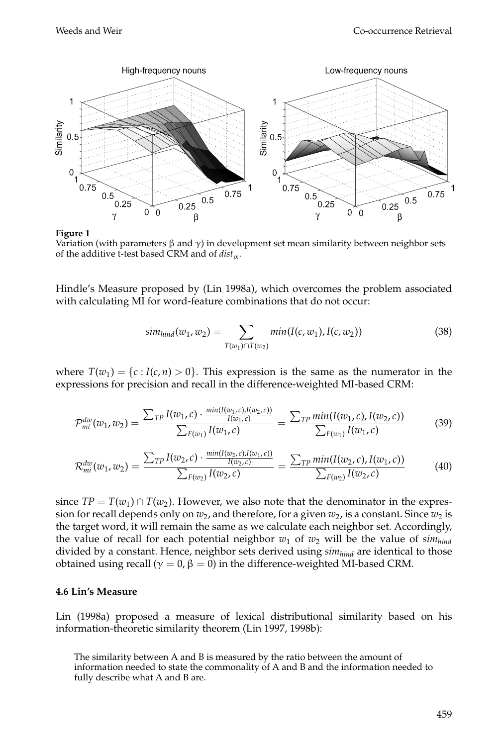

#### **Figure 1**

Variation (with parameters  $\beta$  and  $\gamma$ ) in development set mean similarity between neighbor sets of the additive t-test based CRM and of  $dist_{\alpha}$ .

Hindle's Measure proposed by (Lin 1998a), which overcomes the problem associated with calculating MI for word-feature combinations that do not occur:

$$
sim_{\text{hind}}(w_1, w_2) = \sum_{T(w_1) \cap T(w_2)} \min(I(c, w_1), I(c, w_2)) \tag{38}
$$

where  $T(w_1) = \{c : I(c, n) > 0\}$ . This expression is the same as the numerator in the expressions for precision and recall in the difference-weighted MI-based CRM:

$$
\mathcal{P}_{mi}^{dv}(w_1, w_2) = \frac{\sum_{TP} I(w_1, c) \cdot \frac{min(I(w_1, c), I(w_2, c))}{I(w_1, c)}}{\sum_{F(w_1)} I(w_1, c)} = \frac{\sum_{TP} min(I(w_1, c), I(w_2, c))}{\sum_{F(w_1)} I(w_1, c)}
$$
(39)

$$
\mathcal{R}_{mi}^{dw}(w_1, w_2) = \frac{\sum_{TP} I(w_2, c) \cdot \frac{min(I(w_2, c), I(w_1, c))}{I(w_2, c)}}{\sum_{F(w_2)} I(w_2, c)} = \frac{\sum_{TP} min(I(w_2, c), I(w_1, c))}{\sum_{F(w_2)} I(w_2, c)}
$$
(40)

since  $TP = T(w_1) \cap T(w_2)$ . However, we also note that the denominator in the expression for recall depends only on  $w_2$ , and therefore, for a given  $w_2$ , is a constant. Since  $w_2$  is the target word, it will remain the same as we calculate each neighbor set. Accordingly, the value of recall for each potential neighbor  $w_1$  of  $w_2$  will be the value of  $sim_{\text{hind}}$ divided by a constant. Hence, neighbor sets derived using *simhind* are identical to those obtained using recall ( $\gamma = 0$ , β = 0) in the difference-weighted MI-based CRM.

#### **4.6 Lin's Measure**

Lin (1998a) proposed a measure of lexical distributional similarity based on his information-theoretic similarity theorem (Lin 1997, 1998b):

The similarity between A and B is measured by the ratio between the amount of information needed to state the commonality of A and B and the information needed to fully describe what A and B are.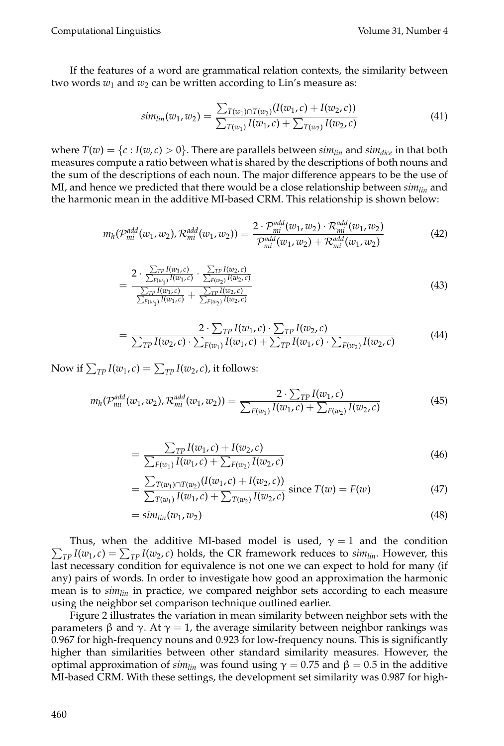If the features of a word are grammatical relation contexts, the similarity between two words  $w_1$  and  $w_2$  can be written according to Lin's measure as:

$$
sim_{lin}(w_1, w_2) = \frac{\sum_{T(w_1) \cap T(w_2)} (I(w_1, c) + I(w_2, c))}{\sum_{T(w_1)} I(w_1, c) + \sum_{T(w_2)} I(w_2, c)}
$$
(41)

where  $T(w) = \{c : I(w, c) > 0\}$ . There are parallels between  $\sin_{lin}$  and  $\sin_{dic}$  in that both measures compute a ratio between what is shared by the descriptions of both nouns and the sum of the descriptions of each noun. The major difference appears to be the use of MI, and hence we predicted that there would be a close relationship between *simlin* and the harmonic mean in the additive MI-based CRM. This relationship is shown below:

$$
m_h(\mathcal{P}_{mi}^{add}(w_1, w_2), \mathcal{R}_{mi}^{add}(w_1, w_2)) = \frac{2 \cdot \mathcal{P}_{mi}^{add}(w_1, w_2) \cdot \mathcal{R}_{mi}^{add}(w_1, w_2)}{\mathcal{P}_{mi}^{add}(w_1, w_2) + \mathcal{R}_{mi}^{add}(w_1, w_2)}
$$
(42)

$$
= \frac{2 \cdot \frac{\sum_{TP} I(w_1, c)}{\sum_{F(w_1)} I(w_1, c)} \cdot \frac{\sum_{TP} I(w_2, c)}{\sum_{F(w_2)} I(w_2, c)}}{\frac{\sum_{TP} I(w_1, c)}{\sum_{F(w_1)} I(w_1, c)} + \frac{\sum_{TP} I(w_2, c)}{\sum_{F(w_2)} I(w_2, c)}} \tag{43}
$$

$$
= \frac{2 \cdot \sum_{TP} I(w_1, c) \cdot \sum_{TP} I(w_2, c)}{\sum_{TP} I(w_2, c) \cdot \sum_{F(w_1)} I(w_1, c) + \sum_{TP} I(w_1, c) \cdot \sum_{F(w_2)} I(w_2, c)}
$$
(44)

Now if  $\sum_{TP} I(w_1, c) = \sum_{TP} I(w_2, c)$ , it follows:

$$
m_h(\mathcal{P}_{mi}^{add}(w_1, w_2), \mathcal{R}_{mi}^{add}(w_1, w_2)) = \frac{2 \cdot \sum_{TP} I(w_1, c)}{\sum_{F(w_1)} I(w_1, c) + \sum_{F(w_2)} I(w_2, c)}
$$
(45)

$$
= \frac{\sum_{TP} I(w_1, c) + I(w_2, c)}{\sum_{F(w_1)} I(w_1, c) + \sum_{F(w_2)} I(w_2, c)}
$$
(46)

$$
= \frac{\sum_{T(w_1) \cap T(w_2)} (I(w_1, c) + I(w_2, c))}{\sum_{T(w_1)} I(w_1, c) + \sum_{T(w_2)} I(w_2, c)} \text{ since } T(w) = F(w) \tag{47}
$$

$$
=sim_{lin}(w_1, w_2) \tag{48}
$$

 $\sum_{TP} I(w_1, c) = \sum_{TP} I(w_2, c)$  holds, the CR framework reduces to *sim<sub>lin</sub>*. However, this Thus, when the additive MI-based model is used,  $\gamma = 1$  and the condition last necessary condition for equivalence is not one we can expect to hold for many (if any) pairs of words. In order to investigate how good an approximation the harmonic mean is to *simlin* in practice, we compared neighbor sets according to each measure using the neighbor set comparison technique outlined earlier.

Figure 2 illustrates the variation in mean similarity between neighbor sets with the parameters β and γ. At  $\gamma = 1$ , the average similarity between neighbor rankings was 0.967 for high-frequency nouns and 0.923 for low-frequency nouns. This is significantly higher than similarities between other standard similarity measures. However, the optimal approximation of  $sim_{lin}$  was found using  $\gamma = 0.75$  and  $\beta = 0.5$  in the additive MI-based CRM. With these settings, the development set similarity was 0.987 for high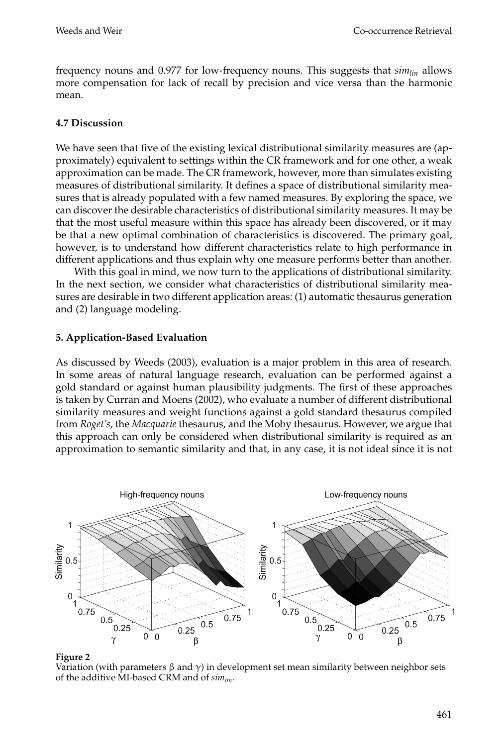frequency nouns and 0.977 for low-frequency nouns. This suggests that *simlin* allows more compensation for lack of recall by precision and vice versa than the harmonic mean.

## **4.7 Discussion**

We have seen that five of the existing lexical distributional similarity measures are (approximately) equivalent to settings within the CR framework and for one other, a weak approximation can be made. The CR framework, however, more than simulates existing measures of distributional similarity. It defines a space of distributional similarity measures that is already populated with a few named measures. By exploring the space, we can discover the desirable characteristics of distributional similarity measures. It may be that the most useful measure within this space has already been discovered, or it may be that a new optimal combination of characteristics is discovered. The primary goal, however, is to understand how different characteristics relate to high performance in different applications and thus explain why one measure performs better than another.

With this goal in mind, we now turn to the applications of distributional similarity. In the next section, we consider what characteristics of distributional similarity measures are desirable in two different application areas: (1) automatic thesaurus generation and (2) language modeling.

## **5. Application-Based Evaluation**

As discussed by Weeds (2003), evaluation is a major problem in this area of research. In some areas of natural language research, evaluation can be performed against a gold standard or against human plausibility judgments. The first of these approaches is taken by Curran and Moens (2002), who evaluate a number of different distributional similarity measures and weight functions against a gold standard thesaurus compiled from *Roget's*, the *Macquarie* thesaurus, and the Moby thesaurus. However, we argue that this approach can only be considered when distributional similarity is required as an approximation to semantic similarity and that, in any case, it is not ideal since it is not



#### **Figure 2**

Variation (with parameters  $\beta$  and  $\gamma$ ) in development set mean similarity between neighbor sets of the additive MI-based CRM and of *simlin*.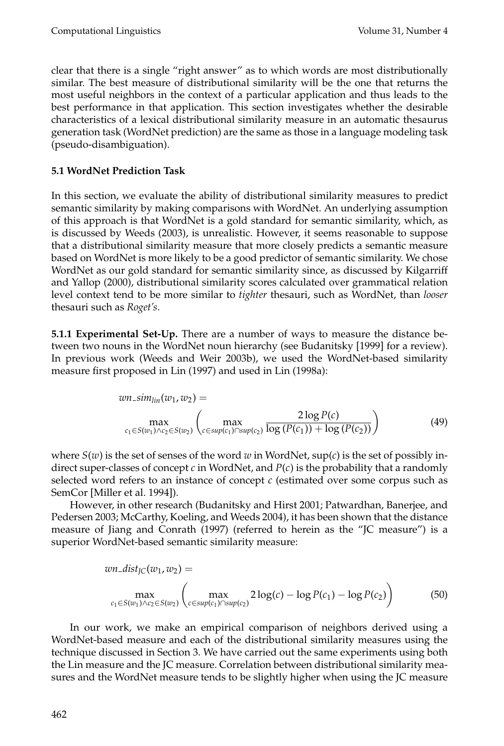clear that there is a single "right answer" as to which words are most distributionally similar. The best measure of distributional similarity will be the one that returns the most useful neighbors in the context of a particular application and thus leads to the best performance in that application. This section investigates whether the desirable characteristics of a lexical distributional similarity measure in an automatic thesaurus generation task (WordNet prediction) are the same as those in a language modeling task (pseudo-disambiguation).

# **5.1 WordNet Prediction Task**

In this section, we evaluate the ability of distributional similarity measures to predict semantic similarity by making comparisons with WordNet. An underlying assumption of this approach is that WordNet is a gold standard for semantic similarity, which, as is discussed by Weeds (2003), is unrealistic. However, it seems reasonable to suppose that a distributional similarity measure that more closely predicts a semantic measure based on WordNet is more likely to be a good predictor of semantic similarity. We chose WordNet as our gold standard for semantic similarity since, as discussed by Kilgarriff and Yallop (2000), distributional similarity scores calculated over grammatical relation level context tend to be more similar to *tighter* thesauri, such as WordNet, than *looser* thesauri such as *Roget's*.

**5.1.1 Experimental Set-Up.** There are a number of ways to measure the distance between two nouns in the WordNet noun hierarchy (see Budanitsky [1999] for a review). In previous work (Weeds and Weir 2003b), we used the WordNet-based similarity measure first proposed in Lin (1997) and used in Lin (1998a):

$$
wn\_sim_{lin}(w_1, w_2) = \max_{c_1 \in S(w_1) \wedge c_2 \in S(w_2)} \left( \max_{c \in \text{sup}(c_1) \cap \text{sup}(c_2)} \frac{2 \log P(c)}{\log (P(c_1)) + \log (P(c_2))} \right)
$$
(49)

where  $S(w)$  is the set of senses of the word *w* in WordNet,  $sup(c)$  is the set of possibly indirect super-classes of concept *c* in WordNet, and *P*(*c*) is the probability that a randomly selected word refers to an instance of concept *c* (estimated over some corpus such as SemCor [Miller et al. 1994]).

However, in other research (Budanitsky and Hirst 2001; Patwardhan, Banerjee, and Pedersen 2003; McCarthy, Koeling, and Weeds 2004), it has been shown that the distance measure of Jiang and Conrath (1997) (referred to herein as the "JC measure") is a superior WordNet-based semantic similarity measure:

$$
wn\_dist_{JC}(w_1, w_2) = \max_{c_1 \in S(w_1) \wedge c_2 \in S(w_2)} \left( \max_{c \in \text{sup}(c_1) \cap \text{sup}(c_2)} 2\log(c) - \log P(c_1) - \log P(c_2) \right)
$$
(50)

In our work, we make an empirical comparison of neighbors derived using a WordNet-based measure and each of the distributional similarity measures using the technique discussed in Section 3. We have carried out the same experiments using both the Lin measure and the JC measure. Correlation between distributional similarity measures and the WordNet measure tends to be slightly higher when using the JC measure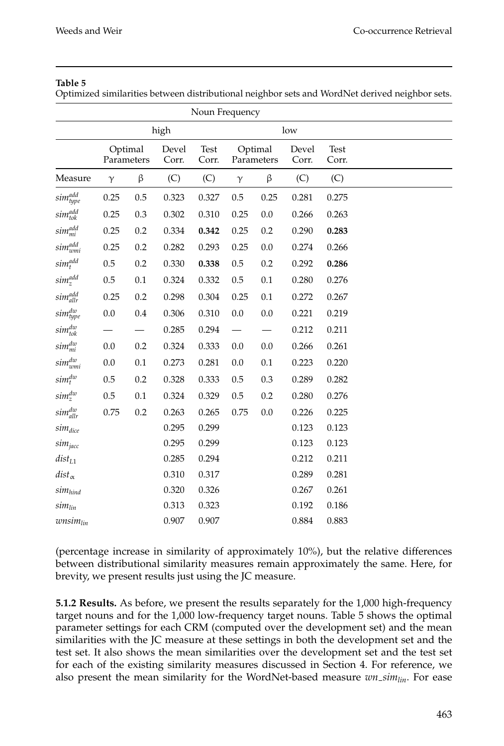#### **Table 5**

Optimized similarities between distributional neighbor sets and WordNet derived neighbor sets.

|                    |                                         |         |               | Noun Frequency        |          |                |               |       |  |
|--------------------|-----------------------------------------|---------|---------------|-----------------------|----------|----------------|---------------|-------|--|
|                    |                                         |         | high          |                       |          |                | low           |       |  |
|                    | Optimal<br>Devel<br>Parameters<br>Corr. |         | Test<br>Corr. | Optimal<br>Parameters |          | Devel<br>Corr. | Test<br>Corr. |       |  |
| Measure            | $\gamma$                                | β       | (C)           | (C)                   | $\gamma$ | β              | (C)           | (C)   |  |
| sim <sup>add</sup> | 0.25                                    | 0.5     | 0.323         | 0.327                 | $0.5\,$  | 0.25           | 0.281         | 0.275 |  |
| sim <sup>add</sup> | 0.25                                    | 0.3     | 0.302         | 0.310                 | 0.25     | $0.0\,$        | 0.266         | 0.263 |  |
| sim <sup>add</sup> | 0.25                                    | $0.2\,$ | 0.334         | 0.342                 | 0.25     | $0.2\,$        | 0.290         | 0.283 |  |
| $sim_{wmi}^{add}$  | 0.25                                    | $0.2\,$ | 0.282         | 0.293                 | 0.25     | $0.0\,$        | 0.274         | 0.266 |  |
| $sim_t^{add}$      | $0.5\,$                                 | $0.2\,$ | 0.330         | 0.338                 | 0.5      | $0.2\,$        | 0.292         | 0.286 |  |
| $sim_z^{add}$      | $0.5\,$                                 | 0.1     | 0.324         | 0.332                 | 0.5      | $0.1\,$        | 0.280         | 0.276 |  |
| $sim_{allr}^{add}$ | 0.25                                    | $0.2\,$ | 0.298         | 0.304                 | 0.25     | 0.1            | 0.272         | 0.267 |  |
| sim <sup>dw</sup>  | $0.0\,$                                 | $0.4\,$ | 0.306         | 0.310                 | $0.0\,$  | $0.0\,$        | 0.221         | 0.219 |  |
| $sim_{tok}^{dw}$   |                                         |         | 0.285         | 0.294                 |          |                | 0.212         | 0.211 |  |
| $sim_{mi}^{dw}$    | 0.0                                     | $0.2\,$ | 0.324         | 0.333                 | 0.0      | $0.0\,$        | 0.266         | 0.261 |  |
| $sim_{wmi}^{dw}$   | 0.0                                     | 0.1     | 0.273         | 0.281                 | 0.0      | 0.1            | 0.223         | 0.220 |  |
| $sim_t^{dw}$       | 0.5                                     | 0.2     | 0.328         | 0.333                 | 0.5      | 0.3            | 0.289         | 0.282 |  |
| $sim_z^{dw}$       | 0.5                                     | 0.1     | 0.324         | 0.329                 | 0.5      | 0.2            | 0.280         | 0.276 |  |
| $sim_{allr}^{dw}$  | 0.75                                    | $0.2\,$ | 0.263         | 0.265                 | 0.75     | $0.0\,$        | 0.226         | 0.225 |  |
| $sim_{dice}$       |                                         |         | 0.295         | 0.299                 |          |                | 0.123         | 0.123 |  |
| $sim_{jacc}$       |                                         |         | 0.295         | 0.299                 |          |                | 0.123         | 0.123 |  |
| $dist_{L1}$        |                                         |         | 0.285         | 0.294                 |          |                | 0.212         | 0.211 |  |
| $dist_{\alpha}$    |                                         |         | 0.310         | 0.317                 |          |                | 0.289         | 0.281 |  |
| $sim_{hind}$       |                                         |         | 0.320         | 0.326                 |          |                | 0.267         | 0.261 |  |
| $sim_{lin}$        |                                         |         | 0.313         | 0.323                 |          |                | 0.192         | 0.186 |  |
| $wnsim_{lin}$      |                                         |         | 0.907         | 0.907                 |          |                | 0.884         | 0.883 |  |

(percentage increase in similarity of approximately 10%), but the relative differences between distributional similarity measures remain approximately the same. Here, for brevity, we present results just using the JC measure.

**5.1.2 Results.** As before, we present the results separately for the 1,000 high-frequency target nouns and for the 1,000 low-frequency target nouns. Table 5 shows the optimal parameter settings for each CRM (computed over the development set) and the mean similarities with the JC measure at these settings in both the development set and the test set. It also shows the mean similarities over the development set and the test set for each of the existing similarity measures discussed in Section 4. For reference, we also present the mean similarity for the WordNet-based measure *wn simlin*. For ease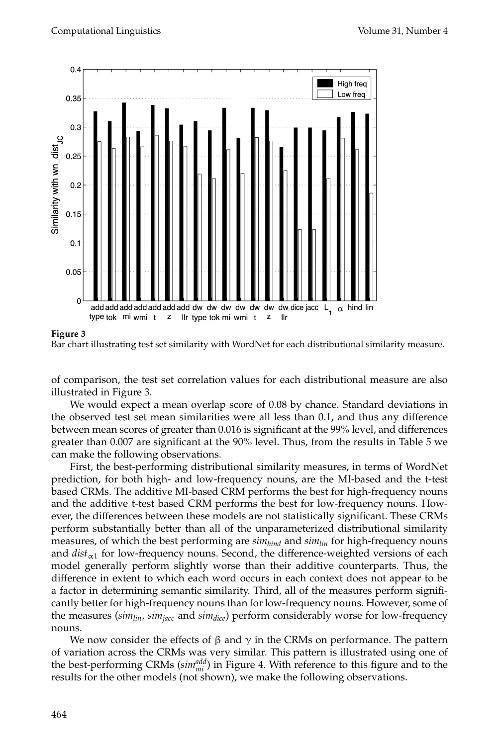

#### **Figure 3**



of comparison, the test set correlation values for each distributional measure are also illustrated in Figure 3.

We would expect a mean overlap score of 0.08 by chance. Standard deviations in the observed test set mean similarities were all less than 0.1, and thus any difference between mean scores of greater than 0.016 is significant at the 99% level, and differences greater than 0.007 are significant at the 90% level. Thus, from the results in Table 5 we can make the following observations.

First, the best-performing distributional similarity measures, in terms of WordNet prediction, for both high- and low-frequency nouns, are the MI-based and the t-test based CRMs. The additive MI-based CRM performs the best for high-frequency nouns and the additive t-test based CRM performs the best for low-frequency nouns. However, the differences between these models are not statistically significant. These CRMs perform substantially better than all of the unparameterized distributional similarity measures, of which the best performing are *simhind* and *simlin* for high-frequency nouns and  $dist_{\alpha_1}$  for low-frequency nouns. Second, the difference-weighted versions of each model generally perform slightly worse than their additive counterparts. Thus, the difference in extent to which each word occurs in each context does not appear to be a factor in determining semantic similarity. Third, all of the measures perform significantly better for high-frequency nouns than for low-frequency nouns. However, some of the measures ( $sim<sub>lin</sub>$ ,  $sim<sub>jacc</sub>$  and  $sim<sub>dice</sub>$ ) perform considerably worse for low-frequency nouns.

We now consider the effects of  $\beta$  and  $\gamma$  in the CRMs on performance. The pattern of variation across the CRMs was very similar. This pattern is illustrated using one of the best-performing CRMs ( $sim_{mi}^{add}$ ) in Figure 4. With reference to this figure and to the results for the other models (not shown), we make the following observations.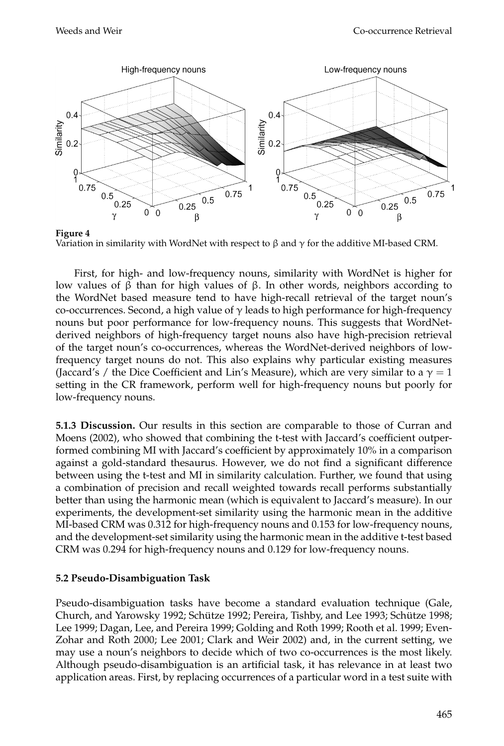

**Figure 4** Variation in similarity with WordNet with respect to  $\beta$  and  $\gamma$  for the additive MI-based CRM.

First, for high- and low-frequency nouns, similarity with WordNet is higher for low values of β than for high values of β. In other words, neighbors according to the WordNet based measure tend to have high-recall retrieval of the target noun's co-occurrences. Second, a high value of  $\gamma$  leads to high performance for high-frequency nouns but poor performance for low-frequency nouns. This suggests that WordNetderived neighbors of high-frequency target nouns also have high-precision retrieval of the target noun's co-occurrences, whereas the WordNet-derived neighbors of lowfrequency target nouns do not. This also explains why particular existing measures (Jaccard's / the Dice Coefficient and Lin's Measure), which are very similar to a  $\gamma = 1$ setting in the CR framework, perform well for high-frequency nouns but poorly for low-frequency nouns.

**5.1.3 Discussion.** Our results in this section are comparable to those of Curran and Moens (2002), who showed that combining the t-test with Jaccard's coefficient outperformed combining MI with Jaccard's coefficient by approximately 10% in a comparison against a gold-standard thesaurus. However, we do not find a significant difference between using the t-test and MI in similarity calculation. Further, we found that using a combination of precision and recall weighted towards recall performs substantially better than using the harmonic mean (which is equivalent to Jaccard's measure). In our experiments, the development-set similarity using the harmonic mean in the additive MI-based CRM was 0.312 for high-frequency nouns and 0.153 for low-frequency nouns, and the development-set similarity using the harmonic mean in the additive t-test based CRM was 0.294 for high-frequency nouns and 0.129 for low-frequency nouns.

## **5.2 Pseudo-Disambiguation Task**

Pseudo-disambiguation tasks have become a standard evaluation technique (Gale, Church, and Yarowsky 1992; Schütze 1992; Pereira, Tishby, and Lee 1993; Schütze 1998; Lee 1999; Dagan, Lee, and Pereira 1999; Golding and Roth 1999; Rooth et al. 1999; Even-Zohar and Roth 2000; Lee 2001; Clark and Weir 2002) and, in the current setting, we may use a noun's neighbors to decide which of two co-occurrences is the most likely. Although pseudo-disambiguation is an artificial task, it has relevance in at least two application areas. First, by replacing occurrences of a particular word in a test suite with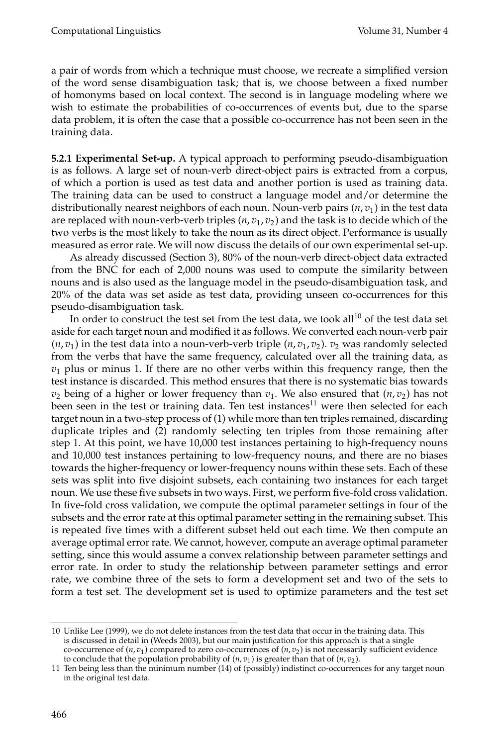a pair of words from which a technique must choose, we recreate a simplified version of the word sense disambiguation task; that is, we choose between a fixed number of homonyms based on local context. The second is in language modeling where we wish to estimate the probabilities of co-occurrences of events but, due to the sparse data problem, it is often the case that a possible co-occurrence has not been seen in the training data.

**5.2.1 Experimental Set-up.** A typical approach to performing pseudo-disambiguation is as follows. A large set of noun-verb direct-object pairs is extracted from a corpus, of which a portion is used as test data and another portion is used as training data. The training data can be used to construct a language model and/or determine the distributionally nearest neighbors of each noun. Noun-verb pairs (*n*, *v*1) in the test data are replaced with noun-verb-verb triples ( $n$ ,  $v$ <sub>1</sub>,  $v$ <sub>2</sub>) and the task is to decide which of the two verbs is the most likely to take the noun as its direct object. Performance is usually measured as error rate. We will now discuss the details of our own experimental set-up.

As already discussed (Section 3), 80% of the noun-verb direct-object data extracted from the BNC for each of 2,000 nouns was used to compute the similarity between nouns and is also used as the language model in the pseudo-disambiguation task, and 20% of the data was set aside as test data, providing unseen co-occurrences for this pseudo-disambiguation task.

In order to construct the test set from the test data, we took all<sup>10</sup> of the test data set aside for each target noun and modified it as follows. We converted each noun-verb pair  $(n, v_1)$  in the test data into a noun-verb-verb triple  $(n, v_1, v_2)$ .  $v_2$  was randomly selected from the verbs that have the same frequency, calculated over all the training data, as  $v<sub>1</sub>$  plus or minus 1. If there are no other verbs within this frequency range, then the test instance is discarded. This method ensures that there is no systematic bias towards  $v_2$  being of a higher or lower frequency than  $v_1$ . We also ensured that  $(n, v_2)$  has not been seen in the test or training data. Ten test instances<sup>11</sup> were then selected for each target noun in a two-step process of (1) while more than ten triples remained, discarding duplicate triples and (2) randomly selecting ten triples from those remaining after step 1. At this point, we have 10,000 test instances pertaining to high-frequency nouns and 10,000 test instances pertaining to low-frequency nouns, and there are no biases towards the higher-frequency or lower-frequency nouns within these sets. Each of these sets was split into five disjoint subsets, each containing two instances for each target noun. We use these five subsets in two ways. First, we perform five-fold cross validation. In five-fold cross validation, we compute the optimal parameter settings in four of the subsets and the error rate at this optimal parameter setting in the remaining subset. This is repeated five times with a different subset held out each time. We then compute an average optimal error rate. We cannot, however, compute an average optimal parameter setting, since this would assume a convex relationship between parameter settings and error rate. In order to study the relationship between parameter settings and error rate, we combine three of the sets to form a development set and two of the sets to form a test set. The development set is used to optimize parameters and the test set

<sup>10</sup> Unlike Lee (1999), we do not delete instances from the test data that occur in the training data. This is discussed in detail in (Weeds 2003), but our main justification for this approach is that a single co-occurrence of  $(n, v_1)$  compared to zero co-occurrences of  $(n, v_2)$  is not necessarily sufficient evidence to conclude that the population probability of  $(n, v_1)$  is greater than that of  $(n, v_2)$ .

<sup>11</sup> Ten being less than the minimum number (14) of (possibly) indistinct co-occurrences for any target noun in the original test data.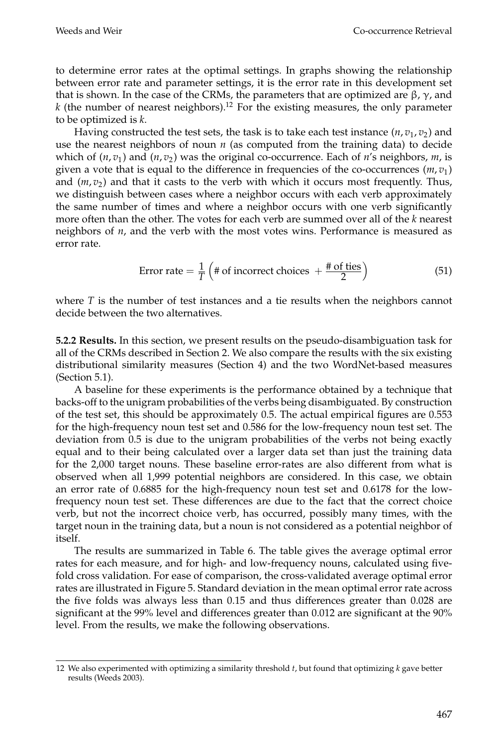to determine error rates at the optimal settings. In graphs showing the relationship between error rate and parameter settings, it is the error rate in this development set that is shown. In the case of the CRMs, the parameters that are optimized are  $β$ ,  $γ$ , and  $k$  (the number of nearest neighbors).<sup>12</sup> For the existing measures, the only parameter to be optimized is *k*.

Having constructed the test sets, the task is to take each test instance  $(n, v_1, v_2)$  and use the nearest neighbors of noun  $n$  (as computed from the training data) to decide which of  $(n, v_1)$  and  $(n, v_2)$  was the original co-occurrence. Each of *n's* neighbors, *m*, is given a vote that is equal to the difference in frequencies of the co-occurrences  $(m, v_1)$ and  $(m, v_2)$  and that it casts to the verb with which it occurs most frequently. Thus, we distinguish between cases where a neighbor occurs with each verb approximately the same number of times and where a neighbor occurs with one verb significantly more often than the other. The votes for each verb are summed over all of the *k* nearest neighbors of *n*, and the verb with the most votes wins. Performance is measured as error rate.

Error rate = 
$$
\frac{1}{T}
$$
  $\left(\# \text{ of incorrect choices } + \frac{\# \text{ of ties}}{2}\right)$  (51)

where *T* is the number of test instances and a tie results when the neighbors cannot decide between the two alternatives.

**5.2.2 Results.** In this section, we present results on the pseudo-disambiguation task for all of the CRMs described in Section 2. We also compare the results with the six existing distributional similarity measures (Section 4) and the two WordNet-based measures (Section 5.1).

A baseline for these experiments is the performance obtained by a technique that backs-off to the unigram probabilities of the verbs being disambiguated. By construction of the test set, this should be approximately 0.5. The actual empirical figures are 0.553 for the high-frequency noun test set and 0.586 for the low-frequency noun test set. The deviation from 0.5 is due to the unigram probabilities of the verbs not being exactly equal and to their being calculated over a larger data set than just the training data for the 2,000 target nouns. These baseline error-rates are also different from what is observed when all 1,999 potential neighbors are considered. In this case, we obtain an error rate of 0.6885 for the high-frequency noun test set and 0.6178 for the lowfrequency noun test set. These differences are due to the fact that the correct choice verb, but not the incorrect choice verb, has occurred, possibly many times, with the target noun in the training data, but a noun is not considered as a potential neighbor of itself.

The results are summarized in Table 6. The table gives the average optimal error rates for each measure, and for high- and low-frequency nouns, calculated using fivefold cross validation. For ease of comparison, the cross-validated average optimal error rates are illustrated in Figure 5. Standard deviation in the mean optimal error rate across the five folds was always less than 0.15 and thus differences greater than 0.028 are significant at the 99% level and differences greater than 0.012 are significant at the 90% level. From the results, we make the following observations.

<sup>12</sup> We also experimented with optimizing a similarity threshold *t*, but found that optimizing *k* gave better results (Weeds 2003).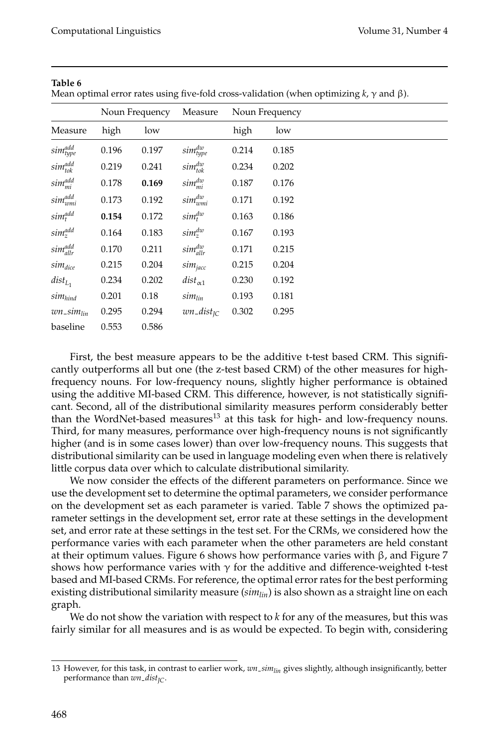| Nean optimal error rates using live-loid cross-validation (when optimizing k, y and p). |       |                |                   |                |       |  |  |  |  |  |
|-----------------------------------------------------------------------------------------|-------|----------------|-------------------|----------------|-------|--|--|--|--|--|
|                                                                                         |       | Noun Frequency | Measure           | Noun Frequency |       |  |  |  |  |  |
| Measure                                                                                 | high  | low            |                   | high           | low   |  |  |  |  |  |
| $sim_{type}^{add}$                                                                      | 0.196 | 0.197          | $sim_{type}^{dw}$ | 0.214          | 0.185 |  |  |  |  |  |
| $sim_{tok}^{add}$                                                                       | 0.219 | 0.241          | $sim_{tok}^{dw}$  | 0.234          | 0.202 |  |  |  |  |  |
| $sim_{mi}^{add}$                                                                        | 0.178 | 0.169          | $sim_{mi}^{dw}$   | 0.187          | 0.176 |  |  |  |  |  |
| $sim_{wmi}^{add}$                                                                       | 0.173 | 0.192          | $sim_{wmi}^{dw}$  | 0.171          | 0.192 |  |  |  |  |  |
| $sim_t^{add}$                                                                           | 0.154 | 0.172          | $sim_t^{dw}$      | 0.163          | 0.186 |  |  |  |  |  |
| $sim_z^{add}$                                                                           | 0.164 | 0.183          | $sim_z^{dw}$      | 0.167          | 0.193 |  |  |  |  |  |
| $sim_{allr}^{add}$                                                                      | 0.170 | 0.211          | $sim_{allr}^{dw}$ | 0.171          | 0.215 |  |  |  |  |  |
| $sim_{dice}$                                                                            | 0.215 | 0.204          | $sim_{jacc}$      | 0.215          | 0.204 |  |  |  |  |  |
| $dist_{L_1}$                                                                            | 0.234 | 0.202          | $dist_{\alpha 1}$ | 0.230          | 0.192 |  |  |  |  |  |
| $sim_{hind}$                                                                            | 0.201 | 0.18           | $sim_{lin}$       | 0.193          | 0.181 |  |  |  |  |  |
| $wn\_sim_{lin}$                                                                         | 0.295 | 0.294          | $wn\_dist_{IC}$   | 0.302          | 0.295 |  |  |  |  |  |
| baseline                                                                                | 0.553 | 0.586          |                   |                |       |  |  |  |  |  |

**Table 6** Mean optimal error rates using five-fold cross-validation (when optimizing *k*, γ and β).

First, the best measure appears to be the additive t-test based CRM. This significantly outperforms all but one (the z-test based CRM) of the other measures for highfrequency nouns. For low-frequency nouns, slightly higher performance is obtained using the additive MI-based CRM. This difference, however, is not statistically significant. Second, all of the distributional similarity measures perform considerably better than the WordNet-based measures<sup>13</sup> at this task for high- and low-frequency nouns. Third, for many measures, performance over high-frequency nouns is not significantly higher (and is in some cases lower) than over low-frequency nouns. This suggests that distributional similarity can be used in language modeling even when there is relatively little corpus data over which to calculate distributional similarity.

We now consider the effects of the different parameters on performance. Since we use the development set to determine the optimal parameters, we consider performance on the development set as each parameter is varied. Table 7 shows the optimized parameter settings in the development set, error rate at these settings in the development set, and error rate at these settings in the test set. For the CRMs, we considered how the performance varies with each parameter when the other parameters are held constant at their optimum values. Figure 6 shows how performance varies with  $β$ , and Figure 7 shows how performance varies with  $\gamma$  for the additive and difference-weighted t-test based and MI-based CRMs. For reference, the optimal error rates for the best performing existing distributional similarity measure (*simlin*) is also shown as a straight line on each graph.

We do not show the variation with respect to *k* for any of the measures, but this was fairly similar for all measures and is as would be expected. To begin with, considering

<sup>13</sup> However, for this task, in contrast to earlier work, *wn simlin* gives slightly, although insignificantly, better performance than  $wn\_dist_{IC}$ .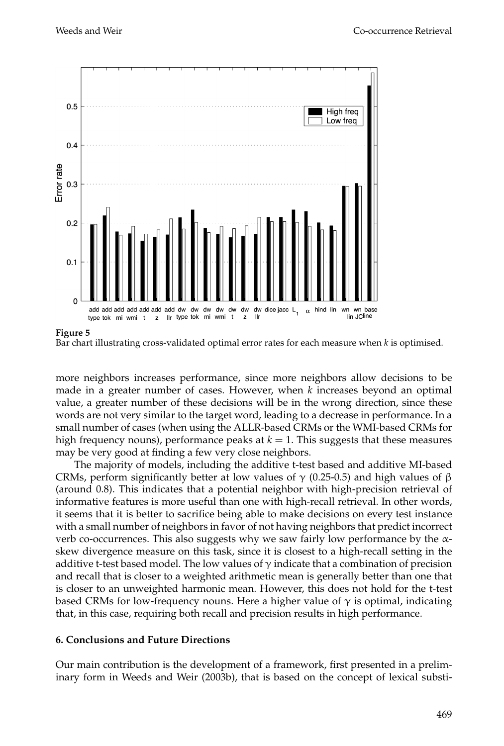

**Figure 5**

more neighbors increases performance, since more neighbors allow decisions to be made in a greater number of cases. However, when *k* increases beyond an optimal value, a greater number of these decisions will be in the wrong direction, since these words are not very similar to the target word, leading to a decrease in performance. In a small number of cases (when using the ALLR-based CRMs or the WMI-based CRMs for high frequency nouns), performance peaks at  $k = 1$ . This suggests that these measures may be very good at finding a few very close neighbors.

The majority of models, including the additive t-test based and additive MI-based CRMs, perform significantly better at low values of  $\gamma$  (0.25-0.5) and high values of  $\beta$ (around 0.8). This indicates that a potential neighbor with high-precision retrieval of informative features is more useful than one with high-recall retrieval. In other words, it seems that it is better to sacrifice being able to make decisions on every test instance with a small number of neighbors in favor of not having neighbors that predict incorrect verb co-occurrences. This also suggests why we saw fairly low performance by the  $\alpha$ skew divergence measure on this task, since it is closest to a high-recall setting in the additive t-test based model. The low values of  $\gamma$  indicate that a combination of precision and recall that is closer to a weighted arithmetic mean is generally better than one that is closer to an unweighted harmonic mean. However, this does not hold for the t-test based CRMs for low-frequency nouns. Here a higher value of  $\gamma$  is optimal, indicating that, in this case, requiring both recall and precision results in high performance.

## **6. Conclusions and Future Directions**

Our main contribution is the development of a framework, first presented in a preliminary form in Weeds and Weir (2003b), that is based on the concept of lexical substi-

Bar chart illustrating cross-validated optimal error rates for each measure when *k* is optimised.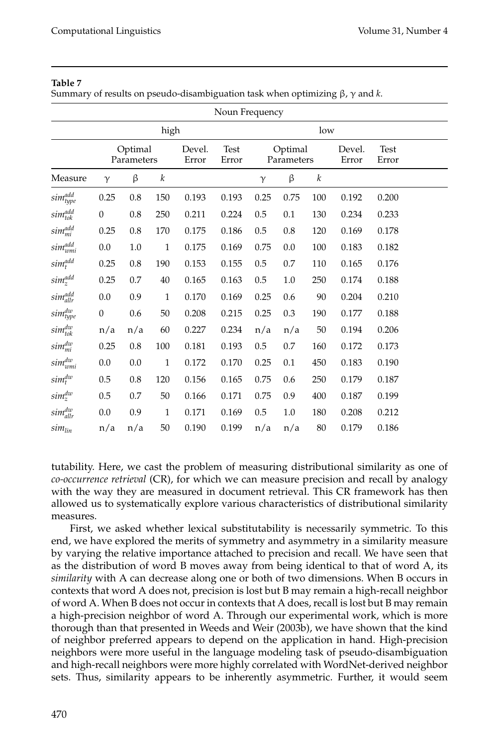#### **Table 7**

Summary of results on pseudo-disambiguation task when optimizing β, γ and *k*.

| Noun Frequency                |                  |                                                                                           |              |       |       |          |                 |                      |       |       |  |
|-------------------------------|------------------|-------------------------------------------------------------------------------------------|--------------|-------|-------|----------|-----------------|----------------------|-------|-------|--|
|                               | high<br>low      |                                                                                           |              |       |       |          |                 |                      |       |       |  |
|                               |                  | <b>Test</b><br>Optimal<br>Optimal<br>Devel.<br>Parameters<br>Parameters<br>Error<br>Error |              |       |       |          | Devel.<br>Error | <b>Test</b><br>Error |       |       |  |
| Measure                       | $\gamma$         | β                                                                                         | k            |       |       | $\gamma$ | β               | k                    |       |       |  |
| sim <sup>add</sup>            | 0.25             | 0.8                                                                                       | 150          | 0.193 | 0.193 | 0.25     | 0.75            | 100                  | 0.192 | 0.200 |  |
| sim <sup>add</sup>            | $\theta$         | $0.8\,$                                                                                   | 250          | 0.211 | 0.224 | 0.5      | 0.1             | 130                  | 0.234 | 0.233 |  |
| $sim_{mi}^{add}$              | 0.25             | 0.8                                                                                       | 170          | 0.175 | 0.186 | 0.5      | 0.8             | 120                  | 0.169 | 0.178 |  |
| sim <sup>add</sup>            | $0.0\,$          | $1.0\,$                                                                                   | $\mathbf{1}$ | 0.175 | 0.169 | 0.75     | 0.0             | 100                  | 0.183 | 0.182 |  |
| $sim_t^{add}$                 | 0.25             | $0.8\,$                                                                                   | 190          | 0.153 | 0.155 | 0.5      | 0.7             | 110                  | 0.165 | 0.176 |  |
| $sim_z^{add}$                 | 0.25             | $0.7\,$                                                                                   | 40           | 0.165 | 0.163 | $0.5\,$  | $1.0\,$         | 250                  | 0.174 | 0.188 |  |
| simadd                        | $0.0\,$          | 0.9                                                                                       | 1            | 0.170 | 0.169 | 0.25     | 0.6             | 90                   | 0.204 | 0.210 |  |
| $sim_{type}^{dw}$             | $\boldsymbol{0}$ | 0.6                                                                                       | 50           | 0.208 | 0.215 | 0.25     | 0.3             | 190                  | 0.177 | 0.188 |  |
| $sim_{tok}^{dw}$              | n/a              | n/a                                                                                       | 60           | 0.227 | 0.234 | n/a      | n/a             | 50                   | 0.194 | 0.206 |  |
| $sim_{mi}^{dw}$               | 0.25             | $0.8\,$                                                                                   | 100          | 0.181 | 0.193 | 0.5      | $0.7\,$         | 160                  | 0.172 | 0.173 |  |
| $sim_{wmi}^{dw}$              | $0.0\,$          | $0.0\,$                                                                                   | $1\,$        | 0.172 | 0.170 | 0.25     | 0.1             | 450                  | 0.183 | 0.190 |  |
| $sim_t^{dw}$                  | $0.5\,$          | $0.8\,$                                                                                   | 120          | 0.156 | 0.165 | 0.75     | 0.6             | 250                  | 0.179 | 0.187 |  |
| $sim_z^{dw}$                  | $0.5\,$          | $0.7\,$                                                                                   | $50\,$       | 0.166 | 0.171 | 0.75     | 0.9             | 400                  | 0.187 | 0.199 |  |
| $sim_{allr}^{dw}$             | 0.0              | 0.9                                                                                       | $\mathbf{1}$ | 0.171 | 0.169 | 0.5      | 1.0             | 180                  | 0.208 | 0.212 |  |
| $\mathit{sim}_{\mathit{lin}}$ | n/a              | n/a                                                                                       | 50           | 0.190 | 0.199 | n/a      | n/a             | 80                   | 0.179 | 0.186 |  |

tutability. Here, we cast the problem of measuring distributional similarity as one of *co-occurrence retrieval* (CR), for which we can measure precision and recall by analogy with the way they are measured in document retrieval. This CR framework has then allowed us to systematically explore various characteristics of distributional similarity measures.

First, we asked whether lexical substitutability is necessarily symmetric. To this end, we have explored the merits of symmetry and asymmetry in a similarity measure by varying the relative importance attached to precision and recall. We have seen that as the distribution of word B moves away from being identical to that of word A, its *similarity* with A can decrease along one or both of two dimensions. When B occurs in contexts that word A does not, precision is lost but B may remain a high-recall neighbor of word A. When B does not occur in contexts that A does, recall is lost but B may remain a high-precision neighbor of word A. Through our experimental work, which is more thorough than that presented in Weeds and Weir (2003b), we have shown that the kind of neighbor preferred appears to depend on the application in hand. High-precision neighbors were more useful in the language modeling task of pseudo-disambiguation and high-recall neighbors were more highly correlated with WordNet-derived neighbor sets. Thus, similarity appears to be inherently asymmetric. Further, it would seem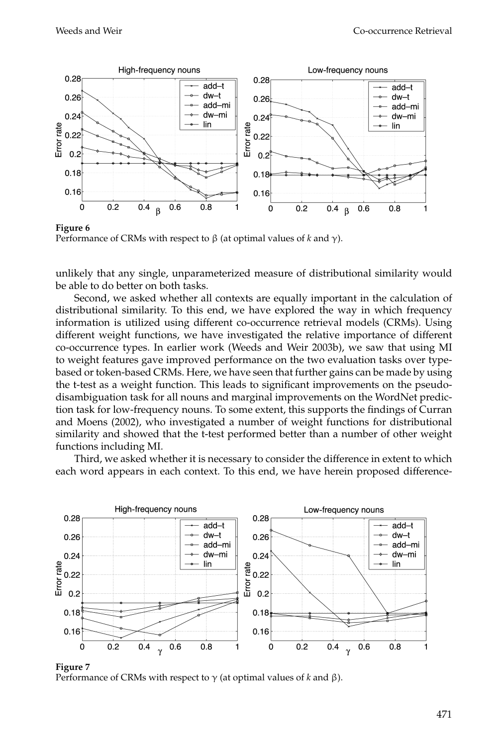

**Figure 6** Performance of CRMs with respect to β (at optimal values of *k* and γ).

unlikely that any single, unparameterized measure of distributional similarity would be able to do better on both tasks.

Second, we asked whether all contexts are equally important in the calculation of distributional similarity. To this end, we have explored the way in which frequency information is utilized using different co-occurrence retrieval models (CRMs). Using different weight functions, we have investigated the relative importance of different co-occurrence types. In earlier work (Weeds and Weir 2003b), we saw that using MI to weight features gave improved performance on the two evaluation tasks over typebased or token-based CRMs. Here, we have seen that further gains can be made by using the t-test as a weight function. This leads to significant improvements on the pseudodisambiguation task for all nouns and marginal improvements on the WordNet prediction task for low-frequency nouns. To some extent, this supports the findings of Curran and Moens (2002), who investigated a number of weight functions for distributional similarity and showed that the t-test performed better than a number of other weight functions including MI.

Third, we asked whether it is necessary to consider the difference in extent to which each word appears in each context. To this end, we have herein proposed difference-



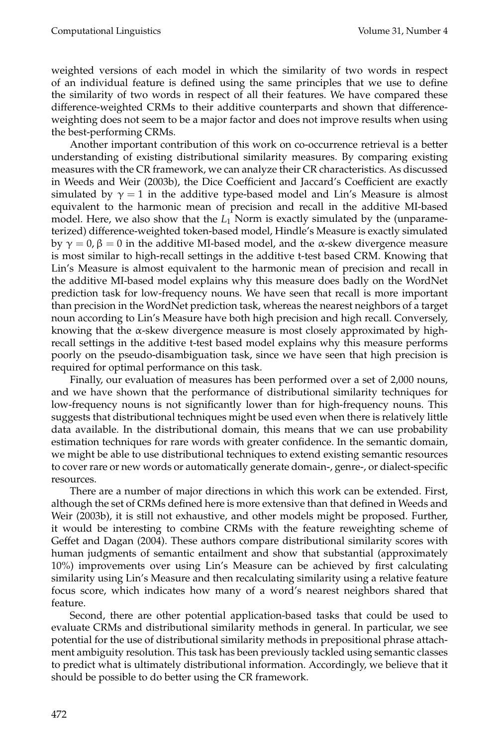weighted versions of each model in which the similarity of two words in respect of an individual feature is defined using the same principles that we use to define the similarity of two words in respect of all their features. We have compared these difference-weighted CRMs to their additive counterparts and shown that differenceweighting does not seem to be a major factor and does not improve results when using the best-performing CRMs.

Another important contribution of this work on co-occurrence retrieval is a better understanding of existing distributional similarity measures. By comparing existing measures with the CR framework, we can analyze their CR characteristics. As discussed in Weeds and Weir (2003b), the Dice Coefficient and Jaccard's Coefficient are exactly simulated by  $\gamma = 1$  in the additive type-based model and Lin's Measure is almost equivalent to the harmonic mean of precision and recall in the additive MI-based model. Here, we also show that the  $L_1$  Norm is exactly simulated by the (unparameterized) difference-weighted token-based model, Hindle's Measure is exactly simulated by  $\gamma = 0$ ,  $\beta = 0$  in the additive MI-based model, and the α-skew divergence measure is most similar to high-recall settings in the additive t-test based CRM. Knowing that Lin's Measure is almost equivalent to the harmonic mean of precision and recall in the additive MI-based model explains why this measure does badly on the WordNet prediction task for low-frequency nouns. We have seen that recall is more important than precision in the WordNet prediction task, whereas the nearest neighbors of a target noun according to Lin's Measure have both high precision and high recall. Conversely, knowing that the  $\alpha$ -skew divergence measure is most closely approximated by highrecall settings in the additive t-test based model explains why this measure performs poorly on the pseudo-disambiguation task, since we have seen that high precision is required for optimal performance on this task.

Finally, our evaluation of measures has been performed over a set of 2,000 nouns, and we have shown that the performance of distributional similarity techniques for low-frequency nouns is not significantly lower than for high-frequency nouns. This suggests that distributional techniques might be used even when there is relatively little data available. In the distributional domain, this means that we can use probability estimation techniques for rare words with greater confidence. In the semantic domain, we might be able to use distributional techniques to extend existing semantic resources to cover rare or new words or automatically generate domain-, genre-, or dialect-specific resources.

There are a number of major directions in which this work can be extended. First, although the set of CRMs defined here is more extensive than that defined in Weeds and Weir (2003b), it is still not exhaustive, and other models might be proposed. Further, it would be interesting to combine CRMs with the feature reweighting scheme of Geffet and Dagan (2004). These authors compare distributional similarity scores with human judgments of semantic entailment and show that substantial (approximately 10%) improvements over using Lin's Measure can be achieved by first calculating similarity using Lin's Measure and then recalculating similarity using a relative feature focus score, which indicates how many of a word's nearest neighbors shared that feature.

Second, there are other potential application-based tasks that could be used to evaluate CRMs and distributional similarity methods in general. In particular, we see potential for the use of distributional similarity methods in prepositional phrase attachment ambiguity resolution. This task has been previously tackled using semantic classes to predict what is ultimately distributional information. Accordingly, we believe that it should be possible to do better using the CR framework.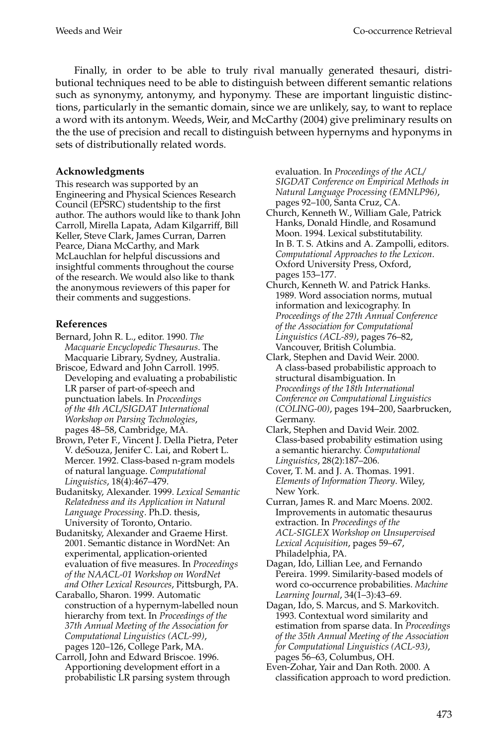Finally, in order to be able to truly rival manually generated thesauri, distributional techniques need to be able to distinguish between different semantic relations such as synonymy, antonymy, and hyponymy. These are important linguistic distinctions, particularly in the semantic domain, since we are unlikely, say, to want to replace a word with its antonym. Weeds, Weir, and McCarthy (2004) give preliminary results on the the use of precision and recall to distinguish between hypernyms and hyponyms in sets of distributionally related words.

## **Acknowledgments**

This research was supported by an Engineering and Physical Sciences Research Council (EPSRC) studentship to the first author. The authors would like to thank John Carroll, Mirella Lapata, Adam Kilgarriff, Bill Keller, Steve Clark, James Curran, Darren Pearce, Diana McCarthy, and Mark McLauchlan for helpful discussions and insightful comments throughout the course of the research. We would also like to thank the anonymous reviewers of this paper for their comments and suggestions.

## **References**

- Bernard, John R. L., editor. 1990. *The Macquarie Encyclopedic Thesaurus*. The Macquarie Library, Sydney, Australia.
- Briscoe, Edward and John Carroll. 1995. Developing and evaluating a probabilistic LR parser of part-of-speech and punctuation labels. In *Proceedings of the 4th ACL/SIGDAT International Workshop on Parsing Technologies*, pages 48–58, Cambridge, MA.
- Brown, Peter F., Vincent J. Della Pietra, Peter V. deSouza, Jenifer C. Lai, and Robert L. Mercer. 1992. Class-based n-gram models of natural language. *Computational Linguistics*, 18(4):467–479.
- Budanitsky, Alexander. 1999. *Lexical Semantic Relatedness and its Application in Natural Language Processing*. Ph.D. thesis, University of Toronto, Ontario.
- Budanitsky, Alexander and Graeme Hirst. 2001. Semantic distance in WordNet: An experimental, application-oriented evaluation of five measures. In *Proceedings of the NAACL-01 Workshop on WordNet and Other Lexical Resources*, Pittsburgh, PA.
- Caraballo, Sharon. 1999. Automatic construction of a hypernym-labelled noun hierarchy from text. In *Proceedings of the 37th Annual Meeting of the Association for Computational Linguistics (ACL-99)*, pages 120–126, College Park, MA.
- Carroll, John and Edward Briscoe. 1996. Apportioning development effort in a probabilistic LR parsing system through

evaluation. In *Proceedings of the ACL/ SIGDAT Conference on Empirical Methods in Natural Language Processing (EMNLP96)*, pages 92–100, Santa Cruz, CA.

- Church, Kenneth W., William Gale, Patrick Hanks, Donald Hindle, and Rosamund Moon. 1994. Lexical substitutability. In B. T. S. Atkins and A. Zampolli, editors. *Computational Approaches to the Lexicon*. Oxford University Press, Oxford, pages 153–177.
- Church, Kenneth W. and Patrick Hanks. 1989. Word association norms, mutual information and lexicography. In *Proceedings of the 27th Annual Conference of the Association for Computational Linguistics (ACL-89)*, pages 76–82, Vancouver, British Columbia.
- Clark, Stephen and David Weir. 2000. A class-based probabilistic approach to structural disambiguation. In *Proceedings of the 18th International Conference on Computational Linguistics (COLING-00)*, pages 194–200, Saarbrucken, Germany.
- Clark, Stephen and David Weir. 2002. Class-based probability estimation using a semantic hierarchy. *Computational Linguistics*, 28(2):187–206.
- Cover, T. M. and J. A. Thomas. 1991. *Elements of Information Theory*. Wiley, New York.
- Curran, James R. and Marc Moens. 2002. Improvements in automatic thesaurus extraction. In *Proceedings of the ACL-SIGLEX Workshop on Unsupervised Lexical Acquisition*, pages 59–67, Philadelphia, PA.
- Dagan, Ido, Lillian Lee, and Fernando Pereira. 1999. Similarity-based models of word co-occurrence probabilities. *Machine Learning Journal*, 34(1–3):43–69.
- Dagan, Ido, S. Marcus, and S. Markovitch. 1993. Contextual word similarity and estimation from sparse data. In *Proceedings of the 35th Annual Meeting of the Association for Computational Linguistics (ACL-93)*, pages 56–63, Columbus, OH.
- Even-Zohar, Yair and Dan Roth. 2000. A classification approach to word prediction.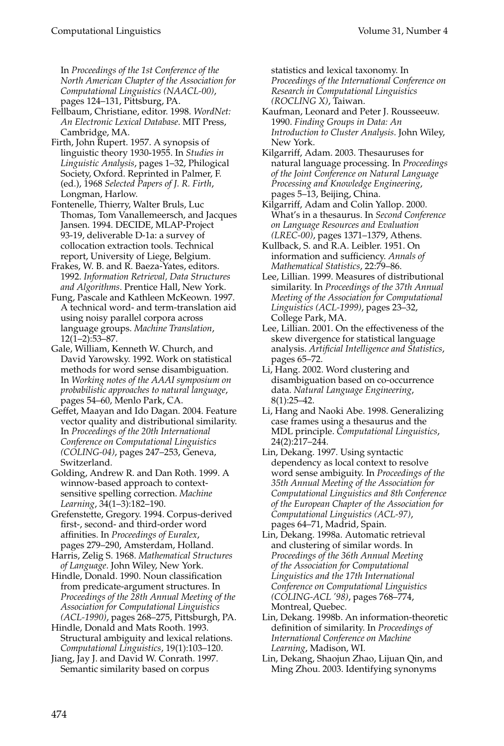In *Proceedings of the 1st Conference of the North American Chapter of the Association for Computational Linguistics (NAACL-00)*, pages 124–131, Pittsburg, PA.

- Fellbaum, Christiane, editor. 1998. *WordNet: An Electronic Lexical Database*. MIT Press, Cambridge, MA.
- Firth, John Rupert. 1957. A synopsis of linguistic theory 1930-1955. In *Studies in Linguistic Analysis*, pages 1–32, Philogical Society, Oxford. Reprinted in Palmer, F. (ed.), 1968 *Selected Papers of J. R. Firth*, Longman, Harlow.
- Fontenelle, Thierry, Walter Bruls, Luc Thomas, Tom Vanallemeersch, and Jacques Jansen. 1994. DECIDE, MLAP-Project 93-19, deliverable D-1a: a survey of collocation extraction tools. Technical report, University of Liege, Belgium.
- Frakes, W. B. and R. Baeza-Yates, editors. 1992. *Information Retrieval, Data Structures and Algorithms*. Prentice Hall, New York.
- Fung, Pascale and Kathleen McKeown. 1997. A technical word- and term-translation aid using noisy parallel corpora across language groups. *Machine Translation*, 12(1–2):53–87.
- Gale, William, Kenneth W. Church, and David Yarowsky. 1992. Work on statistical methods for word sense disambiguation. In *Working notes of the AAAI symposium on probabilistic approaches to natural language*, pages 54–60, Menlo Park, CA.
- Geffet, Maayan and Ido Dagan. 2004. Feature vector quality and distributional similarity. In *Proceedings of the 20th International Conference on Computational Linguistics (COLING-04)*, pages 247–253, Geneva, Switzerland.
- Golding, Andrew R. and Dan Roth. 1999. A winnow-based approach to contextsensitive spelling correction. *Machine Learning*, 34(1–3):182–190.
- Grefenstette, Gregory. 1994. Corpus-derived first-, second- and third-order word affinities. In *Proceedings of Euralex*, pages 279–290, Amsterdam, Holland.
- Harris, Zelig S. 1968. *Mathematical Structures of Language*. John Wiley, New York.
- Hindle, Donald. 1990. Noun classification from predicate-argument structures. In *Proceedings of the 28th Annual Meeting of the Association for Computational Linguistics (ACL-1990)*, pages 268–275, Pittsburgh, PA.
- Hindle, Donald and Mats Rooth. 1993. Structural ambiguity and lexical relations. *Computational Linguistics*, 19(1):103–120.
- Jiang, Jay J. and David W. Conrath. 1997. Semantic similarity based on corpus

statistics and lexical taxonomy. In *Proceedings of the International Conference on Research in Computational Linguistics (ROCLING X)*, Taiwan.

- Kaufman, Leonard and Peter J. Rousseeuw. 1990. *Finding Groups in Data: An Introduction to Cluster Analysis*. John Wiley, New York.
- Kilgarriff, Adam. 2003. Thesauruses for natural language processing. In *Proceedings of the Joint Conference on Natural Language Processing and Knowledge Engineering*, pages 5–13, Beijing, China.
- Kilgarriff, Adam and Colin Yallop. 2000. What's in a thesaurus. In *Second Conference on Language Resources and Evaluation (LREC-00)*, pages 1371–1379, Athens.
- Kullback, S. and R.A. Leibler. 1951. On information and sufficiency. *Annals of Mathematical Statistics*, 22:79–86.
- Lee, Lillian. 1999. Measures of distributional similarity. In *Proceedings of the 37th Annual Meeting of the Association for Computational Linguistics (ACL-1999)*, pages 23–32, College Park, MA.
- Lee, Lillian. 2001. On the effectiveness of the skew divergence for statistical language analysis. *Artificial Intelligence and Statistics*, pages 65–72.
- Li, Hang. 2002. Word clustering and disambiguation based on co-occurrence data. *Natural Language Engineering*, 8(1):25–42.
- Li, Hang and Naoki Abe. 1998. Generalizing case frames using a thesaurus and the MDL principle. *Computational Linguistics*, 24(2):217–244.
- Lin, Dekang. 1997. Using syntactic dependency as local context to resolve word sense ambiguity. In *Proceedings of the 35th Annual Meeting of the Association for Computational Linguistics and 8th Conference of the European Chapter of the Association for Computational Linguistics (ACL-97)*, pages 64–71, Madrid, Spain.
- Lin, Dekang. 1998a. Automatic retrieval and clustering of similar words. In *Proceedings of the 36th Annual Meeting of the Association for Computational Linguistics and the 17th International Conference on Computational Linguistics (COLING-ACL '98)*, pages 768–774, Montreal, Quebec.
- Lin, Dekang. 1998b. An information-theoretic definition of similarity. In *Proceedings of International Conference on Machine Learning*, Madison, WI.
- Lin, Dekang, Shaojun Zhao, Lijuan Qin, and Ming Zhou. 2003. Identifying synonyms